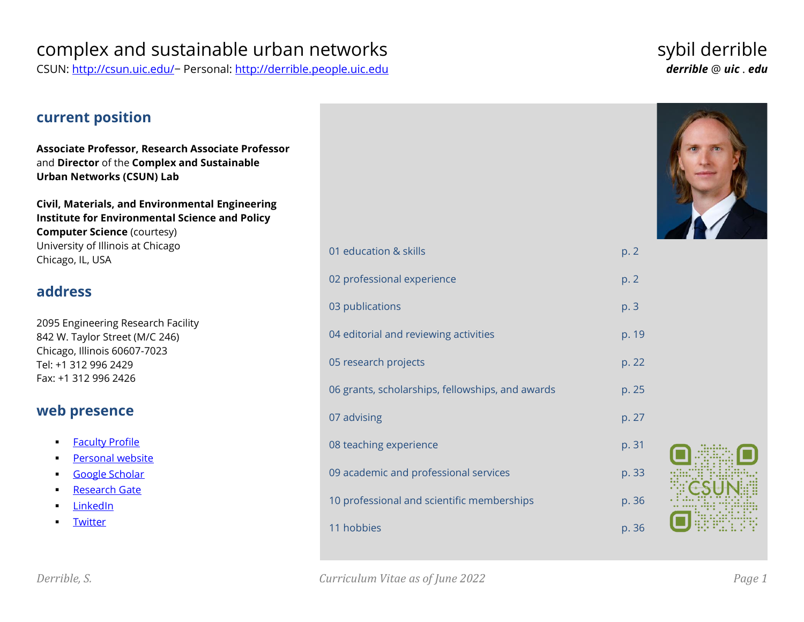# complex and sustainable urban networks exactled the sybil derrible

CSUN:<http://csun.uic.edu/>− Personal: [http://derrible.people.uic.edu](http://derrible.people.uic.edu/) *derrible* @ *uic* . *edu*

# **current position Associate Professor, Research Associate Professor**

and **Director** of the **Complex and Sustainable Urban Networks (CSUN) Lab**

**Civil, Materials, and Environmental Engineering Institute for Environmental Science and Policy Computer Science** (courtesy) University of Illinois at Chicago Chicago, IL, USA

# **address**

2095 Engineering Research Facility 842 W. Taylor Street (M/C 246) Chicago, Illinois 60607-7023 Tel: +1 312 996 2429 Fax: +1 312 996 2426

# **web presence**

- **Eaculty Profile**
- [Personal website](http://derrible.people.uic.edu/)
- [Google Scholar](https://scholar.google.com/citations?user=vUhXX-MAAAAJ)
- [Research Gate](http://www.researchgate.net/profile/Sybil_Derrible)
- [LinkedIn](http://www.linkedin.com/in/SybilDerrible)
- [Twitter](http://twitter.com/SybilDerrible)



| 01 education & skills                            | p. 2  |
|--------------------------------------------------|-------|
| 02 professional experience                       | p. 2  |
| 03 publications                                  | p. 3  |
| 04 editorial and reviewing activities            | p. 19 |
| 05 research projects                             | p. 22 |
| 06 grants, scholarships, fellowships, and awards | p. 25 |
| 07 advising                                      | p. 27 |
| 08 teaching experience                           | p. 31 |
| 09 academic and professional services            | p. 33 |
| 10 professional and scientific memberships       | p. 36 |
| 11 hobbies                                       | p. 36 |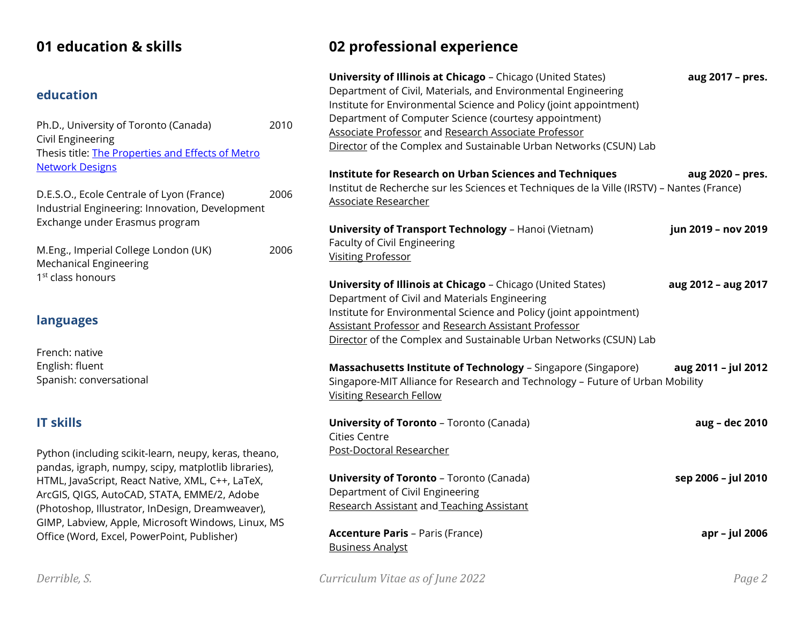# **01 education & skills**

# **education**

| Ph.D., University of Toronto (Canada)             | 2010 |
|---------------------------------------------------|------|
| Civil Engineering                                 |      |
| Thesis title: The Properties and Effects of Metro |      |
| <b>Network Designs</b>                            |      |

D.E.S.O., Ecole Centrale of Lyon (France) 2006 Industrial Engineering: Innovation, Development Exchange under Erasmus program

M.Eng., Imperial College London (UK) 2006 Mechanical Engineering 1<sup>st</sup> class honours

# **languages**

French: native English: fluent Spanish: conversational

# **IT skills**

Python (including scikit-learn, neupy, keras, theano, pandas, igraph, numpy, scipy, matplotlib libraries), HTML, JavaScript, React Native, XML, C++, LaTeX, ArcGIS, QIGS, AutoCAD, STATA, EMME/2, Adobe (Photoshop, Illustrator, InDesign, Dreamweaver), GIMP, Labview, Apple, Microsoft Windows, Linux, MS Office (Word, Excel, PowerPoint, Publisher)

# **02 professional experience**

| University of Illinois at Chicago - Chicago (United States)<br>Department of Civil, Materials, and Environmental Engineering<br>Institute for Environmental Science and Policy (joint appointment)<br>Department of Computer Science (courtesy appointment)<br>Associate Professor and Research Associate Professor<br>Director of the Complex and Sustainable Urban Networks (CSUN) Lab | aug 2017 - pres.    |
|------------------------------------------------------------------------------------------------------------------------------------------------------------------------------------------------------------------------------------------------------------------------------------------------------------------------------------------------------------------------------------------|---------------------|
| <b>Institute for Research on Urban Sciences and Techniques</b><br>Institut de Recherche sur les Sciences et Techniques de la Ville (IRSTV) - Nantes (France)<br><b>Associate Researcher</b>                                                                                                                                                                                              | aug 2020 - pres.    |
| <b>University of Transport Technology - Hanoi (Vietnam)</b><br>Faculty of Civil Engineering<br><b>Visiting Professor</b>                                                                                                                                                                                                                                                                 | jun 2019 - nov 2019 |
| <b>University of Illinois at Chicago</b> - Chicago (United States)<br>Department of Civil and Materials Engineering<br>Institute for Environmental Science and Policy (joint appointment)<br>Assistant Professor and Research Assistant Professor<br>Director of the Complex and Sustainable Urban Networks (CSUN) Lab                                                                   | aug 2012 - aug 2017 |
| Massachusetts Institute of Technology - Singapore (Singapore)<br>Singapore-MIT Alliance for Research and Technology - Future of Urban Mobility<br><b>Visiting Research Fellow</b>                                                                                                                                                                                                        | aug 2011 - jul 2012 |
| <b>University of Toronto - Toronto (Canada)</b><br><b>Cities Centre</b><br>Post-Doctoral Researcher                                                                                                                                                                                                                                                                                      | aug - dec 2010      |
| <b>University of Toronto - Toronto (Canada)</b><br>Department of Civil Engineering<br>Research Assistant and Teaching Assistant                                                                                                                                                                                                                                                          | sep 2006 - jul 2010 |
| <b>Accenture Paris - Paris (France)</b><br><b>Business Analyst</b>                                                                                                                                                                                                                                                                                                                       | apr - jul 2006      |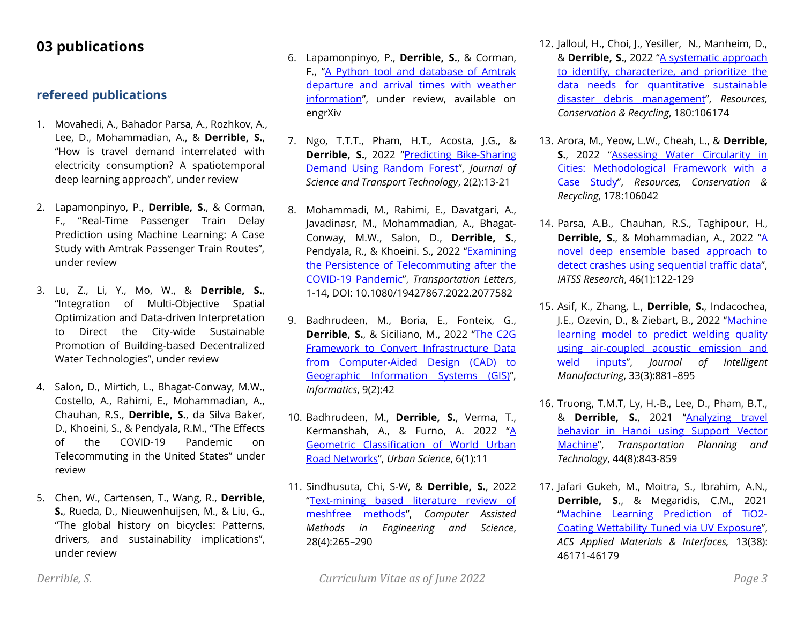# **03 publications**

## **refereed publications**

- 1. Movahedi, A., Bahador Parsa, A., Rozhkov, A., Lee, D., Mohammadian, A., & **Derrible, S.**, "How is travel demand interrelated with electricity consumption? A spatiotemporal deep learning approach", under review
- 2. Lapamonpinyo, P., **Derrible, S.**, & Corman, F., "Real-Time Passenger Train Delay Prediction using Machine Learning: A Case Study with Amtrak Passenger Train Routes", under review
- 3. Lu, Z., Li, Y., Mo, W., & **Derrible, S.**, "Integration of Multi-Objective Spatial Optimization and Data-driven Interpretation to Direct the City-wide Sustainable Promotion of Building-based Decentralized Water Technologies", under review
- 4. Salon, D., Mirtich, L., Bhagat-Conway, M.W., Costello, A., Rahimi, E., Mohammadian, A., Chauhan, R.S., **Derrible, S.**, da Silva Baker, D., Khoeini, S., & Pendyala, R.M., "The Effects of the COVID-19 Pandemic on Telecommuting in the United States" under review
- 5. Chen, W., Cartensen, T., Wang, R., **Derrible, S.**, Rueda, D., Nieuwenhuijsen, M., & Liu, G., "The global history on bicycles: Patterns, drivers, and sustainability implications", under review
- 6. Lapamonpinyo, P., **Derrible, S.**, & Corman, F., "[A Python tool and database of Amtrak](https://engrxiv.org/rhxcj/)  [departure and arrival times with weather](https://engrxiv.org/rhxcj/)  [information](https://engrxiv.org/rhxcj/)", under review, available on engrXiv
- 7. Ngo, T.T.T., Pham, H.T., Acosta, J.G., & **Derrible, S.**, 2022 "Predicting Bike-Sharing [Demand Using Random Forest](https://jstt.vn/index.php/en/article/view/65)", *Journal of Science and Transport Technology*, 2(2):13-21
- 8. Mohammadi, M., Rahimi, E., Davatgari, A., Javadinasr, M., Mohammadian, A., Bhagat-Conway, M.W., Salon, D., **Derrible, S.**, Pendyala, R., & Khoeini. S., 2022 "[Examining](https://doi.org/10.1080/19427867.2022.2077582)  [the Persistence of Telecommuting after the](https://doi.org/10.1080/19427867.2022.2077582)  [COVID-19 Pandemic](https://doi.org/10.1080/19427867.2022.2077582)", *Transportation Letters*, 1-14, DOI: 10.1080/19427867.2022.2077582
- 9. Badhrudeen, M., Boria, E., Fonteix, G., **Derrible, S.**, & Siciliano, M., 2022 "[The C2G](https://doi.org/10.3390/informatics9020042)  [Framework to Convert Infrastructure Data](https://doi.org/10.3390/informatics9020042)  [from Computer-Aided Design \(CAD\) to](https://doi.org/10.3390/informatics9020042)  [Geographic Information Systems \(GIS\)](https://doi.org/10.3390/informatics9020042)", *Informatics*, 9(2):42
- 10. Badhrudeen, M., **Derrible, S.**, Verma, T., Kermanshah, A., & Furno, A. 2022 "A [Geometric Classification of World Urban](https://doi.org/10.3390/urbansci6010011)  [Road Networks](https://doi.org/10.3390/urbansci6010011)", *Urban Science*, 6(1):11
- 11. Sindhusuta, Chi, S-W, & **Derrible, S.**, 2022 "[Text-mining based literature review of](http://dx.doi.org/10.24423/cames.382)  [meshfree methods](http://dx.doi.org/10.24423/cames.382)", *Computer Assisted Methods in Engineering and Science*, 28(4):265–290
- 12. Jalloul, H., Choi, J., Yesiller, N., Manheim, D., & **Derrible, S.**, 2022 "[A systematic approach](https://www.sciencedirect.com/science/article/pii/S0921344922000222)  [to identify, characterize, and prioritize the](https://www.sciencedirect.com/science/article/pii/S0921344922000222)  [data needs for quantitative sustainable](https://www.sciencedirect.com/science/article/pii/S0921344922000222)  [disaster debris management](https://www.sciencedirect.com/science/article/pii/S0921344922000222)", *Resources, Conservation & Recycling*, 180:106174
- 13. Arora, M., Yeow, L.W., Cheah, L., & **Derrible, S.**, 2022 "Assessing Water Circularity in [Cities: Methodological Framework with a](https://doi.org/10.1016/j.resconrec.2021.106042)  [Case Study](https://doi.org/10.1016/j.resconrec.2021.106042)", *Resources, Conservation & Recycling*, 178:106042
- 14. Parsa, A.B., Chauhan, R.S., Taghipour, H., **Derrible, S.**, & Mohammadian, A., 2022 "[A](https://doi.org/10.1016/j.iatssr.2021.10.004)  [novel deep ensemble based](https://doi.org/10.1016/j.iatssr.2021.10.004) approach to [detect crashes using sequential traffic data](https://doi.org/10.1016/j.iatssr.2021.10.004)", *IATSS Research*, 46(1):122-129
- 15. Asif, K., Zhang, L., **Derrible, S.**, Indacochea, J.E., Ozevin, D., & Ziebart, B., 2022 "Machine [learning model to predict welding quality](https://doi.org/10.1007/s10845-020-01667-x)  [using air-coupled acoustic emission and](https://doi.org/10.1007/s10845-020-01667-x)  [weld inputs](https://doi.org/10.1007/s10845-020-01667-x)", *Journal of Intelligent Manufacturing*, 33(3):881–895
- 16. Truong, T.M.T, Ly, H.-B., Lee, D., Pham, B.T., & **Derrible, S.**, 2021 "[Analyzing travel](https://doi.org/10.1080/03081060.2021.1992178)  behavior in Hanoi [using Support Vector](https://doi.org/10.1080/03081060.2021.1992178)  [Machine](https://doi.org/10.1080/03081060.2021.1992178)", *Transportation Planning and Technology*, 44(8):843-859
- 17. Jafari Gukeh, M., Moitra, S., Ibrahim, A.N., **Derrible, S**., & Megaridis, C.M., 2021 "[Machine Learning Prediction of TiO2-](https://doi.org/10.1021/acsami.1c13262) [Coating Wettability Tuned via UV Exposure](https://doi.org/10.1021/acsami.1c13262)", *ACS Applied Materials & Interfaces,* 13(38): 46171-46179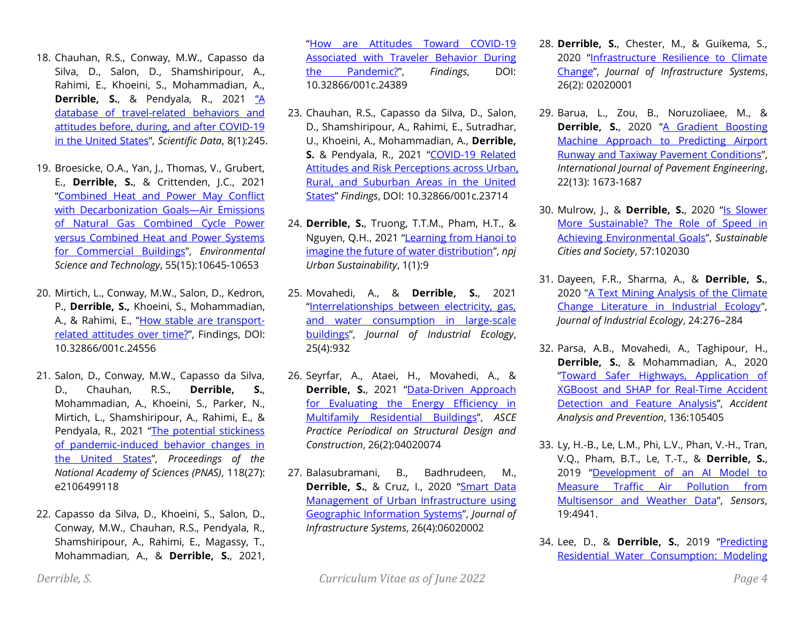- 18. Chauhan, R.S., Conway, M.W., Capasso da Silva, D., Salon, D., Shamshiripour, A., Rahimi, E., Khoeini, S., Mohammadian, A., **Derrible, S.**, & Pendyala, R., 2021 ["A](https://doi.org/10.1038/s41597-021-01020-8)  [database of travel-related behaviors and](https://doi.org/10.1038/s41597-021-01020-8)  [attitudes before, during, and after COVID-19](https://doi.org/10.1038/s41597-021-01020-8)  [in the United States](https://doi.org/10.1038/s41597-021-01020-8)", *Scientific Data*, 8(1):245.
- 19. Broesicke, O.A., Yan, J., Thomas, V., Grubert, E., **Derrible, S.**, & Crittenden, J.C., 2021 "[Combined Heat and Power May Conflict](https://pubs.acs.org/doi/10.1021/acs.est.1c00980)  [with Decarbonization Goals](https://pubs.acs.org/doi/10.1021/acs.est.1c00980)—Air Emissions [of Natural Gas Combined Cycle Power](https://pubs.acs.org/doi/10.1021/acs.est.1c00980)  [versus Combined Heat and Power Systems](https://pubs.acs.org/doi/10.1021/acs.est.1c00980)  [for Commercial Buildings](https://pubs.acs.org/doi/10.1021/acs.est.1c00980)", *Environmental Science and Technology*, 55(15):10645-10653
- 20. Mirtich, L., Conway, M.W., Salon, D., Kedron, P., **Derrible, S.,** Khoeini, S., Mohammadian, A., & Rahimi, E., "[How stable are transport](https://findingspress.org/article/24556-how-stable-are-transport-related-attitudes-over-time)[related attitudes over time?](https://findingspress.org/article/24556-how-stable-are-transport-related-attitudes-over-time)", Findings, DOI: 10.32866/001c.24556
- 21. Salon, D., Conway, M.W., Capasso da Silva, D., Chauhan, R.S., **Derrible, S.**, Mohammadian, A., Khoeini, S., Parker, N., Mirtich, L., Shamshiripour, A., Rahimi, E., & Pendyala, R., 2021 "[The potential stickiness](http://www.pnas.org/content/118/27/e2106499118.abstract)  [of pandemic-induced behavior changes in](http://www.pnas.org/content/118/27/e2106499118.abstract)  [the United States](http://www.pnas.org/content/118/27/e2106499118.abstract)", *Proceedings of the National Academy of Sciences (PNAS)*, 118(27): e2106499118
- 22. Capasso da Silva, D., Khoeini, S., Salon, D., Conway, M.W., Chauhan, R.S., Pendyala, R., Shamshiripour, A., Rahimi, E., Magassy, T., Mohammadian, A., & **Derrible, S.**, 2021,

"[How are Attitudes Toward COVID-19](https://findingspress.org/article/24389-how-are-attitudes-toward-covid-19-associated-with-traveler-behavior-during-the-pandemic)  [Associated with Traveler Behavior During](https://findingspress.org/article/24389-how-are-attitudes-toward-covid-19-associated-with-traveler-behavior-during-the-pandemic)  [the Pandemic?](https://findingspress.org/article/24389-how-are-attitudes-toward-covid-19-associated-with-traveler-behavior-during-the-pandemic)", *Findings*, DOI: 10.32866/001c.24389

- 23. Chauhan, R.S., Capasso da Silva, D., Salon, D., Shamshiripour, A., Rahimi, E., Sutradhar, U., Khoeini, A., Mohammadian, A., **Derrible, S.** & Pendyala, R., 2021 "[COVID-19 Related](https://doi.org/10.32866/001c.23714)  [Attitudes and Risk Perceptions across Urban,](https://doi.org/10.32866/001c.23714)  [Rural, and Suburban Areas in the United](https://doi.org/10.32866/001c.23714)  [States](https://doi.org/10.32866/001c.23714)" *Findings*, DOI: 10.32866/001c.23714
- 24. **Derrible, S.**, Truong, T.T.M., Pham, H.T., & Nguyen, Q.H., 2021 "[Learning from Hanoi to](https://doi.org/10.1038/s42949-020-00001-x)  [imagine the future of water distribution](https://doi.org/10.1038/s42949-020-00001-x)", *npj Urban Sustainability*, 1(1):9
- 25. Movahedi, A., & **Derrible, S.**, 2021 "[Interrelationships between electricity, gas,](https://doi.org/10.1111/jiec.13097)  [and water consumption in large-scale](https://doi.org/10.1111/jiec.13097)  [buildings](https://doi.org/10.1111/jiec.13097)", *Journal of Industrial Ecology*, 25(4):932
- 26. Seyrfar, A., Ataei, H., Movahedi, A., & **Derrible, S.**, 2021 "Data-Driven Approach [for Evaluating the Energy Efficiency in](https://doi.org/10.1061/(ASCE)SC.1943-5576.0000555)  [Multifamily Residential Buildings](https://doi.org/10.1061/(ASCE)SC.1943-5576.0000555)", *ASCE Practice Periodical on Structural Design and Construction*, 26(2):04020074
- 27. Balasubramani, B., Badhrudeen, M., Derrible, S., & Cruz, I., 2020 "Smart Data [Management of Urban Infrastructure using](https://ascelibrary.org/doi/10.1061/%28ASCE%29IS.1943-555X.0000582)  [Geographic Information Systems](https://ascelibrary.org/doi/10.1061/%28ASCE%29IS.1943-555X.0000582)", *Journal of Infrastructure Systems*, 26(4):06020002
- 28. **Derrible, S.**, Chester, M., & Guikema, S., 2020 "[Infrastructure Resilience to Climate](https://ascelibrary.org/doi/abs/10.1061/%28ASCE%29IS.1943-555X.0000532)  [Change](https://ascelibrary.org/doi/abs/10.1061/%28ASCE%29IS.1943-555X.0000532)", *Journal of Infrastructure Systems*, 26(2): 02020001
- 29. Barua, L., Zou, B., Noruzoliaee, M., & **Derrible, S.**, 2020 "[A Gradient Boosting](https://doi.org/10.1080/10298436.2020.1714616)  [Machine Approach to Predicting Airport](https://doi.org/10.1080/10298436.2020.1714616)  [Runway and Taxiway Pavement Conditions](https://doi.org/10.1080/10298436.2020.1714616)", *International Journal of Pavement Engineering*, 22(13): 1673-1687
- 30. Mulrow, J., & **Derrible, S.**, 2020 "[Is Slower](https://doi.org/10.1016/j.scs.2020.102030)  [More Sustainable? The Role of Speed in](https://doi.org/10.1016/j.scs.2020.102030)  [Achieving Environmental Goals](https://doi.org/10.1016/j.scs.2020.102030)", *Sustainable Cities and Society*, 57:102030
- 31. Dayeen, F.R., Sharma, A., & **Derrible, S.**, 2020 ["A Text Mining Analysis of the Climate](https://doi.org/10.1111/jiec.12998)  [Change Literature in Industrial Ecology"](https://doi.org/10.1111/jiec.12998), *Journal of Industrial Ecology*, 24:276–284
- 32. Parsa, A.B., Movahedi, A., Taghipour, H., **Derrible, S.**, & Mohammadian, A., 2020 "[Toward Safer Highways, Application of](https://www.sciencedirect.com/science/article/pii/S0001457519311790)  [XGBoost and SHAP for Real-Time Accident](https://www.sciencedirect.com/science/article/pii/S0001457519311790)  [Detection and Feature Analysis](https://www.sciencedirect.com/science/article/pii/S0001457519311790)", *Accident Analysis and Prevention*, 136:105405
- 33. Ly, H.-B., Le, L.M., Phi, L.V., Phan, V.-H., Tran, V.Q., Pham, B.T., Le, T.-T., & **Derrible, S.**, 2019 "[Development of an AI Model to](https://www.mdpi.com/1424-8220/19/22/4941)  [Measure Traffic Air Pollution from](https://www.mdpi.com/1424-8220/19/22/4941)  [Multisensor and Weather Data](https://www.mdpi.com/1424-8220/19/22/4941)", *Sensors*, 19:4941.
- 34. Lee, D., & **Derrible, S.**, 2019 "[Predicting](https://ascelibrary.org/doi/abs/10.1061/%28ASCE%29WR.1943-5452.0001119)  [Residential Water Consumption: Modeling](https://ascelibrary.org/doi/abs/10.1061/%28ASCE%29WR.1943-5452.0001119)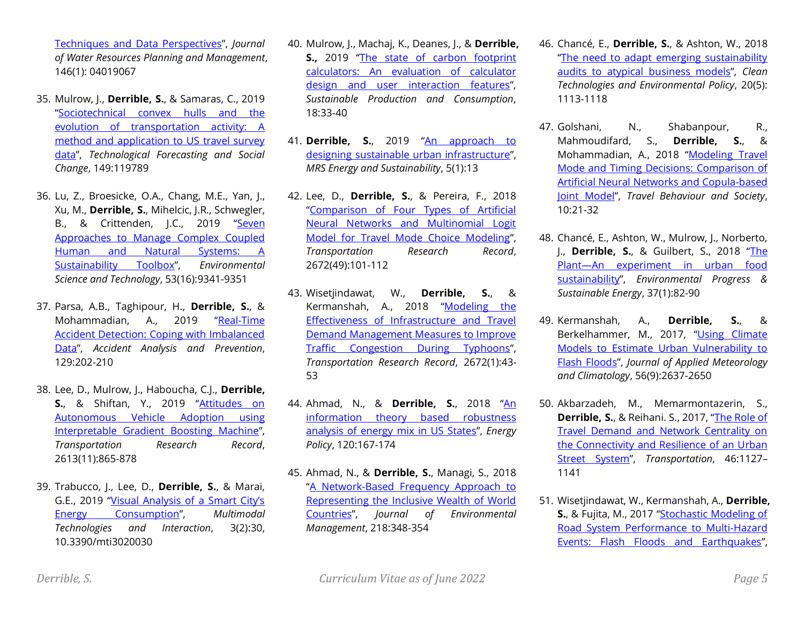[Techniques and Data Perspectives](https://ascelibrary.org/doi/abs/10.1061/%28ASCE%29WR.1943-5452.0001119)", *Journal of Water Resources Planning and Management*, 146(1): 04019067

- 35. Mulrow, J., **Derrible, S.**, & Samaras, C., 2019 "[Sociotechnical convex hulls and the](https://www.sciencedirect.com/science/article/pii/S0040162519309059)  [evolution of transportation activity: A](https://www.sciencedirect.com/science/article/pii/S0040162519309059)  [method and application to US travel survey](https://www.sciencedirect.com/science/article/pii/S0040162519309059)  [data](https://www.sciencedirect.com/science/article/pii/S0040162519309059)", *Technological Forecasting and Social Change*, 149:119789
- 36. Lu, Z., Broesicke, O.A., Chang, M.E., Yan, J., Xu, M., **Derrible, S.**, Mihelcic, J.R., Schwegler, B., & Crittenden, J.C., 2019 "[Seven](https://doi.org/10.1021/acs.est.9b01982)  [Approaches to Manage Complex Coupled](https://doi.org/10.1021/acs.est.9b01982)  [Human and Natural Systems: A](https://doi.org/10.1021/acs.est.9b01982)  [Sustainability Toolbox](https://doi.org/10.1021/acs.est.9b01982)", *Environmental Science and Technology*, 53(16):9341-9351
- 37. Parsa, A.B., Taghipour, H., **Derrible, S.**, & Mohammadian, A., 2019 "[Real-Time](https://www.sciencedirect.com/science/article/abs/pii/S0001457519301642)  [Accident Detection: Coping with Imbalanced](https://www.sciencedirect.com/science/article/abs/pii/S0001457519301642)  [Data](https://www.sciencedirect.com/science/article/abs/pii/S0001457519301642)", *Accident Analysis and Prevention*, 129:202-210
- 38. Lee, D., Mulrow, J., Haboucha, C.J., **Derrible, S.**, & Shiftan, Y., 2019 "[Attitudes on](https://journals.sagepub.com/doi/10.1177/0361198119857953)  [Autonomous Vehicle Adoption using](https://journals.sagepub.com/doi/10.1177/0361198119857953)  [Interpretable Gradient Boosting Machine](https://journals.sagepub.com/doi/10.1177/0361198119857953)", *Transportation Research Record*, 2613(11):865-878
- 39. Trabucco, J., Lee, D., **Derrible, S.**, & Marai, G.E., 2019 ["Visual Analysis of a Smart City's](https://www.mdpi.com/2414-4088/3/2/30)  [Energy Consumption](https://www.mdpi.com/2414-4088/3/2/30)", *Multimodal Technologies and Interaction*, 3(2):30, 10.3390/mti3020030
- 40. Mulrow, J., Machaj, K., Deanes, J., & **Derrible, S.,** 2019 "[The state of carbon footprint](https://doi.org/10.1016/j.spc.2018.12.001)  [calculators: An evaluation of calculator](https://doi.org/10.1016/j.spc.2018.12.001)  [design and user interaction features](https://doi.org/10.1016/j.spc.2018.12.001)", *Sustainable Production and Consumption*, 18:33-40
- 41. **Derrible, S.**, 2019 "An approach to [designing sustainable urban infrastructure](https://doi.org/10.1557/mre.2018.14)", *MRS Energy and Sustainability*, 5(1):13
- 42. Lee, D., **Derrible, S.**, & Pereira, F., 2018 "[Comparison of Four Types of Artificial](http://journals.sagepub.com/doi/full/10.1177/0361198118796971)  [Neural Networks and Multinomial Logit](http://journals.sagepub.com/doi/full/10.1177/0361198118796971)  [Model for Travel Mode Choice Modeling](http://journals.sagepub.com/doi/full/10.1177/0361198118796971)", *Transportation Research Record*, 2672(49):101-112
- 43. Wisetjindawat, W., **Derrible, S.**, & Kermanshah, A., 2018 "[Modeling the](http://journals.sagepub.com/doi/full/10.1177/0361198118791909)  [Effectiveness of Infrastructure and Travel](http://journals.sagepub.com/doi/full/10.1177/0361198118791909)  [Demand Management Measures to Improve](http://journals.sagepub.com/doi/full/10.1177/0361198118791909)  [Traffic Congestion During Typhoons](http://journals.sagepub.com/doi/full/10.1177/0361198118791909)", *Transportation Research Record*, 2672(1):43- 53
- 44. Ahmad, N., & **Derrible, S.**, 2018 "An [information theory based robustness](https://www.sciencedirect.com/science/article/pii/S0301421518303392)  [analysis of energy mix in US States](https://www.sciencedirect.com/science/article/pii/S0301421518303392)", *Energy Policy*, 120:167-174
- 45. Ahmad, N., & **Derrible, S.**, Managi, S., 2018 "[A Network-Based Frequency Approach to](https://www.sciencedirect.com/science/article/pii/S0301479718304523)  [Representing the Inclusive Wealth of World](https://www.sciencedirect.com/science/article/pii/S0301479718304523)  [Countries](https://www.sciencedirect.com/science/article/pii/S0301479718304523)", *Journal of Environmental Management*, 218:348-354
- 46. Chancé, E., **Derrible, S.**, & Ashton, W., 2018 "[The need to adapt emerging sustainability](https://link.springer.com/article/10.1007%2Fs10098-018-1522-6)  [audits to atypical business models](https://link.springer.com/article/10.1007%2Fs10098-018-1522-6)", *Clean Technologies and Environmental Policy*, 20(5): 1113-1118
- 47. Golshani, N., Shabanpour, R., Mahmoudifard, S., **Derrible, S.**, & Mohammadian, A., 2018 "[Modeling Travel](http://www.sciencedirect.com/science/article/pii/S2214367X16301119)  [Mode and Timing Decisions: Comparison of](http://www.sciencedirect.com/science/article/pii/S2214367X16301119)  [Artificial Neural Networks and Copula-based](http://www.sciencedirect.com/science/article/pii/S2214367X16301119)  [Joint Model](http://www.sciencedirect.com/science/article/pii/S2214367X16301119)", *Travel Behaviour and Society*, 10:21-32
- 48. Chancé, E., Ashton, W., Mulrow, J., Norberto, J., **Derrible, S.**, & Guilbert, S., 2018 "[The](http://onlinelibrary.wiley.com/doi/10.1002/ep.12712/full)  Plant—[An experiment in urban food](http://onlinelibrary.wiley.com/doi/10.1002/ep.12712/full)  [sustainability](http://onlinelibrary.wiley.com/doi/10.1002/ep.12712/full)", *Environmental Progress & Sustainable Energy*, 37(1):82-90
- 49. Kermanshah, A., **Derrible, S.**, & Berkelhammer, M., 2017, "[Using Climate](http://journals.ametsoc.org/doi/abs/10.1175/JAMC-D-17-0083.1)  [Models to Estimate Urban Vulnerability to](http://journals.ametsoc.org/doi/abs/10.1175/JAMC-D-17-0083.1)  [Flash Floods](http://journals.ametsoc.org/doi/abs/10.1175/JAMC-D-17-0083.1)", *Journal of Applied Meteorology and Climatology*, 56(9):2637-2650
- 50. Akbarzadeh, M., Memarmontazerin, S., **Derrible, S.**, & Reihani. S., 2017, "[The Role of](https://link.springer.com/article/10.1007%2Fs11116-017-9814-y)  [Travel Demand and Network Centrality on](https://link.springer.com/article/10.1007%2Fs11116-017-9814-y)  [the Connectivity and Resilience of an Urban](https://link.springer.com/article/10.1007%2Fs11116-017-9814-y)  [Street System](https://link.springer.com/article/10.1007%2Fs11116-017-9814-y)", *Transportation*, 46:1127– 1141
- 51. Wisetjindawat, W., Kermanshah, A., **Derrible, S.**, & Fujita, M., 2017 "[Stochastic Modeling of](http://ascelibrary.org/doi/abs/10.1061/%28ASCE%29IS.1943-555X.0000391)  [Road System Performance to Multi-Hazard](http://ascelibrary.org/doi/abs/10.1061/%28ASCE%29IS.1943-555X.0000391)  [Events: Flash Floods and Earthquakes](http://ascelibrary.org/doi/abs/10.1061/%28ASCE%29IS.1943-555X.0000391)",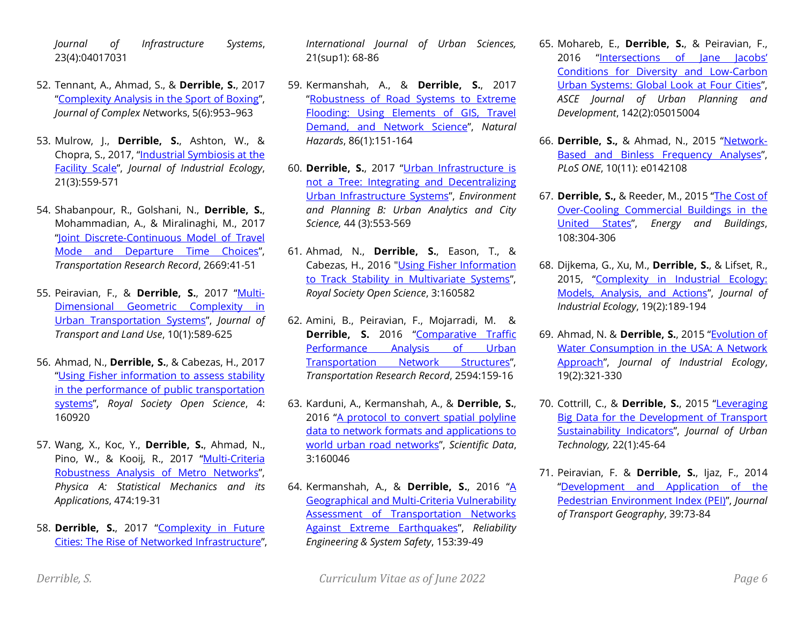*Journal of Infrastructure Systems*, 23(4):04017031

- 52. Tennant, A., Ahmad, S., & **Derrible, S.**, 2017 "[Complexity Analysis in the Sport of Boxing](https://academic.oup.com/comnet/article-abstract/doi/10.1093/comnet/cnx010/3897367)", *Journal of Complex N*etworks, 5(6):953–963
- 53. Mulrow, J., **Derrible, S.**, Ashton, W., & Chopra, S., 2017, "[Industrial Symbiosis at the](http://onlinelibrary.wiley.com/doi/10.1111/jiec.12592/full)  [Facility Scale](http://onlinelibrary.wiley.com/doi/10.1111/jiec.12592/full)", *Journal of Industrial Ecology*, 21(3):559-571
- 54. Shabanpour, R., Golshani, N., **Derrible, S.**, Mohammadian, A., & Miralinaghi, M., 2017 "[Joint Discrete-Continuous Model of Travel](http://trrjournalonline.trb.org/doi/abs/10.3141/2669-05)  [Mode and Departure Time Choices](http://trrjournalonline.trb.org/doi/abs/10.3141/2669-05)", *Transportation Research Record*, 2669:41-51
- 55. Peiravian, F., & **Derrible, S.**, 2017 "[Multi-](https://www.jtlu.org/index.php/jtlu/article/view/919)[Dimensional Geometric Complexity in](https://www.jtlu.org/index.php/jtlu/article/view/919)  [Urban Transportation Systems](https://www.jtlu.org/index.php/jtlu/article/view/919)", *Journal of Transport and Land Use*, 10(1):589-625
- 56. Ahmad, N., **Derrible, S.**, & Cabezas, H., 2017 "[Using Fisher information to assess stability](http://rsos.royalsocietypublishing.org/content/4/4/160920)  [in the performance of public transportation](http://rsos.royalsocietypublishing.org/content/4/4/160920)  [systems](http://rsos.royalsocietypublishing.org/content/4/4/160920)", *Royal Society Open Science*, 4: 160920
- 57. Wang, X., Koc, Y., **Derrible, S.**, Ahmad, N., Pino, W., & Kooij, R., 2017 "Multi-Criteria [Robustness Analysis of Metro Networks](mailto:http://www.sciencedirect.com/science/article/pii/S0378437117300675)", *Physica A: Statistical Mechanics and its Applications*, 474:19-31
- 58. **Derrible, S.**, 2017 "[Complexity in Future](http://www.tandfonline.com/doi/abs/10.1080/12265934.2016.1233075)  [Cities: The Rise of Networked Infrastructure](http://www.tandfonline.com/doi/abs/10.1080/12265934.2016.1233075)",

*International Journal of Urban Sciences,* 21(sup1): 68-86

- 59. Kermanshah, A., & **Derrible, S.**, 2017 "[Robustness of Road Systems to Extreme](http://dx.doi.org/10.1007/s11069-016-2678-1)  [Flooding: Using Elements of GIS, Travel](http://dx.doi.org/10.1007/s11069-016-2678-1)  [Demand, and Network Science](http://dx.doi.org/10.1007/s11069-016-2678-1)", *Natural Hazards*, 86(1):151-164
- 60. **Derrible, S.**, 2017 "[Urban Infrastructure is](http://journals.sagepub.com/doi/abs/10.1177/0265813516647063)  [not a Tree: Integrating and Decentralizing](http://journals.sagepub.com/doi/abs/10.1177/0265813516647063)  [Urban Infrastructure Systems](http://journals.sagepub.com/doi/abs/10.1177/0265813516647063)", *Environment and Planning B: Urban Analytics and City Science,* 44 (3):553-569
- 61. Ahmad, N., **Derrible, S.**, Eason, T., & Cabezas, H., 2016 ["Using Fisher Information](http://rsos.royalsocietypublishing.org/content/3/11/160582)  [to Track Stability in Multivariate Systems](http://rsos.royalsocietypublishing.org/content/3/11/160582)", *Royal Society Open Science*, 3:160582
- 62. Amini, B., Peiravian, F., Mojarradi, M. & **Derrible, S.** 2016 "Comparative Traffic [Performance Analysis of Urban](http://trrjournalonline.trb.org/doi/abs/10.3141/2594-19)  [Transportation Network Structures](http://trrjournalonline.trb.org/doi/abs/10.3141/2594-19)", *Transportation Research Record*, 2594:159-16
- 63. Karduni, A., Kermanshah, A., & **Derrible, S.**, 2016 "A protocol to convert spatial polyline [data to network formats and applications to](http://www.nature.com/articles/sdata201646)  [world urban road networks](http://www.nature.com/articles/sdata201646)", *Scientific Data*, 3:160046
- 64. Kermanshah, A., & **Derrible, S.**, 2016 "[A](http://www.sciencedirect.com/science/article/pii/S0951832016300217)  [Geographical and Multi-Criteria Vulnerability](http://www.sciencedirect.com/science/article/pii/S0951832016300217)  [Assessment of Transportation Networks](http://www.sciencedirect.com/science/article/pii/S0951832016300217)  [Against Extreme Earthquakes](http://www.sciencedirect.com/science/article/pii/S0951832016300217)", *Reliability Engineering & System Safety*, 153:39-49
- 65. Mohareb, E., **Derrible, S.**, & Peiravian, F., 2016 ["Intersections of Jane Jacobs'](http://ascelibrary.org/doi/abs/10.1061/%28ASCE%29UP.1943-5444.0000287)  [Conditions for Diversity and Low-Carbon](http://ascelibrary.org/doi/abs/10.1061/%28ASCE%29UP.1943-5444.0000287)  [Urban Systems: Global Look at Four Cities](http://ascelibrary.org/doi/abs/10.1061/%28ASCE%29UP.1943-5444.0000287)", *ASCE Journal of Urban Planning and Development*, 142(2):05015004
- 66. **Derrible, S.,** & Ahmad, N., 2015 "[Network-](http://journals.plos.org/plosone/article?id=10.1371/journal.pone.0142108)[Based and Binless Frequency Analyses](http://journals.plos.org/plosone/article?id=10.1371/journal.pone.0142108)", *PLoS ONE*, 10(11): e0142108
- 67. **Derrible, S.,** & Reeder, M., 2015 "[The Cost of](http://www.sciencedirect.com/science/article/pii/S0378778815302632)  [Over-Cooling Commercial Buildings in the](http://www.sciencedirect.com/science/article/pii/S0378778815302632)  [United States](http://www.sciencedirect.com/science/article/pii/S0378778815302632)", *Energy and Buildings*, 108:304-306
- 68. Dijkema, G., Xu, M., **Derrible, S.**, & Lifset, R., 2015, "[Complexity in Industrial Ecology:](http://onlinelibrary.wiley.com/doi/10.1111/jiec.12280/abstract)  [Models, Analysis, and Actions](http://onlinelibrary.wiley.com/doi/10.1111/jiec.12280/abstract)", *Journal of Industrial Ecology*, 19(2):189-194
- 69. Ahmad, N. & **Derrible, S.**, 2015 "[Evolution of](http://onlinelibrary.wiley.com/doi/10.1111/jiec.12266/abstract)  [Water Consumption in the USA: A Network](http://onlinelibrary.wiley.com/doi/10.1111/jiec.12266/abstract)  [Approach](http://onlinelibrary.wiley.com/doi/10.1111/jiec.12266/abstract)", *Journal of Industrial Ecology*, 19(2):321-330
- 70. Cottrill, C., & **Derrible, S.**, 2015 "[Leveraging](mailto:http://www.tandfonline.com/doi/full/10.1080/10630732.2014.942094%23.VNPIU2TF9mg)  [Big Data for the Development of Transport](mailto:http://www.tandfonline.com/doi/full/10.1080/10630732.2014.942094%23.VNPIU2TF9mg)  [Sustainability Indicators](mailto:http://www.tandfonline.com/doi/full/10.1080/10630732.2014.942094%23.VNPIU2TF9mg)", *Journal of Urban Technology,* 22(1):45-64
- 71. Peiravian, F. & **Derrible, S.**, Ijaz, F., 2014 "[Development and Application of the](http://www.sciencedirect.com/science/article/pii/S0966692314001343)  [Pedestrian Environment Index \(PEI\)](http://www.sciencedirect.com/science/article/pii/S0966692314001343)", *Journal of Transport Geography*, 39:73-84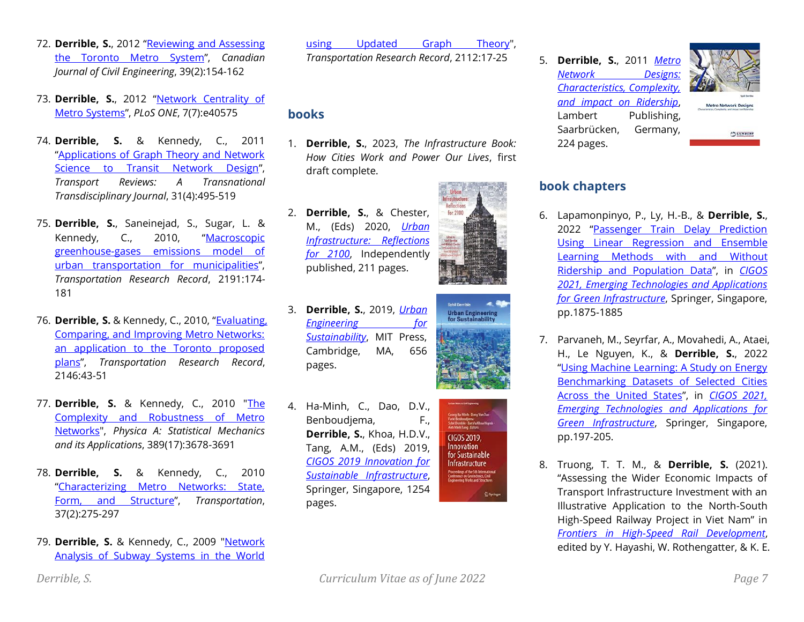- 72. **Derrible, S.**, 2012 "[Reviewing and Assessing](http://www.nrcresearchpress.com/doi/abs/10.1139/l11-118)  [the Toronto Metro System](http://www.nrcresearchpress.com/doi/abs/10.1139/l11-118)", *Canadian Journal of Civil Engineering*, 39(2):154-162
- 73. **Derrible, S.**, 2012 "[Network Centrality of](http://www.plosone.org/article/info%3Adoi%2F10.1371%2Fjournal.pone.0040575)  [Metro Systems](http://www.plosone.org/article/info%3Adoi%2F10.1371%2Fjournal.pone.0040575)", *PLoS ONE*, 7(7):e40575
- 74. **Derrible, S.** & Kennedy, C., 2011 "[Applications of Graph Theory and Network](http://www.informaworld.com/smpp/content~db=all~content=a937537229~frm=titlelink)  [Science to Transit Network Design](http://www.informaworld.com/smpp/content~db=all~content=a937537229~frm=titlelink)", *Transport Reviews: A Transnational Transdisciplinary Journal*, 31(4):495-519
- 75. **Derrible, S.**, Saneinejad, S., Sugar, L. & Kennedy, C., 2010, "[Macroscopic](http://trrjournalonline.trb.org/doi/abs/10.3141/2191-22)  [greenhouse-gases emissions model of](http://trrjournalonline.trb.org/doi/abs/10.3141/2191-22)  [urban transportation for municipalities](http://trrjournalonline.trb.org/doi/abs/10.3141/2191-22)", *Transportation Research Record*, 2191:174- 181
- 76. **Derrible, S.** & Kennedy, C., 2010, "[Evaluating,](http://trrjournalonline.trb.org/doi/abs/10.3141/2146-06)  [Comparing, and Improving Metro Networks:](http://trrjournalonline.trb.org/doi/abs/10.3141/2146-06)  [an application to the Toronto proposed](http://trrjournalonline.trb.org/doi/abs/10.3141/2146-06)  [plans](http://trrjournalonline.trb.org/doi/abs/10.3141/2146-06)", *Transportation Research Record*, 2146:43-51
- 77. **Derrible, S.** & Kennedy, C., 2010 ["The](http://www.sciencedirect.com/science?_ob=ArticleURL&_udi=B6TVG-5017HJT-1&_user=994540&_coverDate=05%2F06%2F2010&_rdoc=23&_fmt=high&_orig=browse&_srch=doc-info%28%23toc%235534%239999%23999999999%2399999%23FLA%23display%23Articles%29&_cdi=5534&_sort=d&_docan)  [Complexity and Robustness of Metro](http://www.sciencedirect.com/science?_ob=ArticleURL&_udi=B6TVG-5017HJT-1&_user=994540&_coverDate=05%2F06%2F2010&_rdoc=23&_fmt=high&_orig=browse&_srch=doc-info%28%23toc%235534%239999%23999999999%2399999%23FLA%23display%23Articles%29&_cdi=5534&_sort=d&_docan)  [Networks"](http://www.sciencedirect.com/science?_ob=ArticleURL&_udi=B6TVG-5017HJT-1&_user=994540&_coverDate=05%2F06%2F2010&_rdoc=23&_fmt=high&_orig=browse&_srch=doc-info%28%23toc%235534%239999%23999999999%2399999%23FLA%23display%23Articles%29&_cdi=5534&_sort=d&_docan), *Physica A: Statistical Mechanics and its Applications*, 389(17):3678-3691
- 78. **Derrible, S.** & Kennedy, C., 2010 "[Characterizing Metro Networks: State,](http://www.springerlink.com/content/j47385850j6175u7/?p=ab4ef63ff9154b519a2f43f14f70a0ec&pi=5)  [Form, and Structure](http://www.springerlink.com/content/j47385850j6175u7/?p=ab4ef63ff9154b519a2f43f14f70a0ec&pi=5)", *Transportation*, 37(2):275-297
- 79. **Derrible, S.** & Kennedy, C., 2009 "Network [Analysis of Subway Systems in the World](http://trrjournalonline.trb.org/doi/abs/10.3141/2112-03)

[using Updated Graph Theory"](http://trrjournalonline.trb.org/doi/abs/10.3141/2112-03),

*Transportation Research Record*, 2112:17-25

# **books**

- 1. **Derrible, S.**, 2023, *The Infrastructure Book: How Cities Work and Power Our Lives*, first draft complete.
- 2. **Derrible, S.**, & Chester, M., (Eds) 2020, *[Urban](https://www.amazon.com/gp/product/B08LZV66YK/)  [Infrastructure: Reflections](https://www.amazon.com/gp/product/B08LZV66YK/)  [for 2100](https://www.amazon.com/gp/product/B08LZV66YK/)*, Independently published, 211 pages.
- 
- 3. **Derrible, S.**, 2019, *[Urban](https://mitpress.mit.edu/books/urban-engineering-sustainability)  [Engineering for](https://mitpress.mit.edu/books/urban-engineering-sustainability)  [Sustainability](https://mitpress.mit.edu/books/urban-engineering-sustainability)*, MIT Press, Cambridge, MA, 656 pages.
- 4. Ha-Minh, C., Dao, D.V., Benboudjema, F., **Derrible, S.**, Khoa, H.D.V., Tang, A.M., (Eds) 2019, *[CIGOS 2019 Innovation for](https://link.springer.com/book/10.1007%2F978-981-15-0802-8)  [Sustainable Infrastructure](https://link.springer.com/book/10.1007%2F978-981-15-0802-8)*, Springer, Singapore, 1254 pages.

CIGOS 2019. Innovation for Sustainable Infrastructure  $2$  Spring







5. **Derrible, S.**, 2011 *[Metro](http://www.amazon.com/Metro-Network-Designs-Characteristics-Complexity/dp/384335362X/ref=sr_1_1?ie=UTF8&qid=1298313649&sr=8-1)  [Network Designs:](http://www.amazon.com/Metro-Network-Designs-Characteristics-Complexity/dp/384335362X/ref=sr_1_1?ie=UTF8&qid=1298313649&sr=8-1)  [Characteristics, Complexity,](http://www.amazon.com/Metro-Network-Designs-Characteristics-Complexity/dp/384335362X/ref=sr_1_1?ie=UTF8&qid=1298313649&sr=8-1)  [and impact on Ridership](http://www.amazon.com/Metro-Network-Designs-Characteristics-Complexity/dp/384335362X/ref=sr_1_1?ie=UTF8&qid=1298313649&sr=8-1)*, Lambert Publishing, Saarbrücken, Germany,



Metro Network Designs

224 pages.



# **book chapters**

- 6. Lapamonpinyo, P., Ly, H.-B., & **Derrible, S.**, 2022 "Passenger Train Delay Prediction [Using Linear Regression and Ensemble](https://link.springer.com/chapter/10.1007/978-981-16-7160-9_190)  [Learning Methods with and Without](https://link.springer.com/chapter/10.1007/978-981-16-7160-9_190)  [Ridership and Population Data](https://link.springer.com/chapter/10.1007/978-981-16-7160-9_190)", in *[CIGOS](https://link.springer.com/book/10.1007/978-981-16-7160-9)  [2021, Emerging Technologies and Applications](https://link.springer.com/book/10.1007/978-981-16-7160-9)  [for Green Infrastructure](https://link.springer.com/book/10.1007/978-981-16-7160-9)*, Springer, Singapore, pp.1875-1885
- 7. Parvaneh, M., Seyrfar, A., Movahedi, A., Ataei, H., Le Nguyen, K., & **Derrible, S.**, 2022 "[Using Machine Learning: A Study on Energy](https://link.springer.com/chapter/10.1007/978-981-16-7160-9_19)  [Benchmarking Datasets of Selected Cities](https://link.springer.com/chapter/10.1007/978-981-16-7160-9_19)  [Across the United States](https://link.springer.com/chapter/10.1007/978-981-16-7160-9_19)", in *[CIGOS 2021,](https://link.springer.com/book/10.1007/978-981-16-7160-9)  [Emerging Technologies and Applications for](https://link.springer.com/book/10.1007/978-981-16-7160-9)  [Green Infrastructure](https://link.springer.com/book/10.1007/978-981-16-7160-9)*, Springer, Singapore, pp.197-205.
- 8. Truong, T. T. M., & **Derrible, S.** (2021). "Assessing the Wider Economic Impacts of Transport Infrastructure Investment with an Illustrative Application to the North-South High-Speed Railway Project in Viet Nam" in *[Frontiers in High-Speed Rail Development](https://www.adb.org/publications/frontiers-high-speed-rail-development)*, edited by Y. Hayashi, W. Rothengatter, & K. E.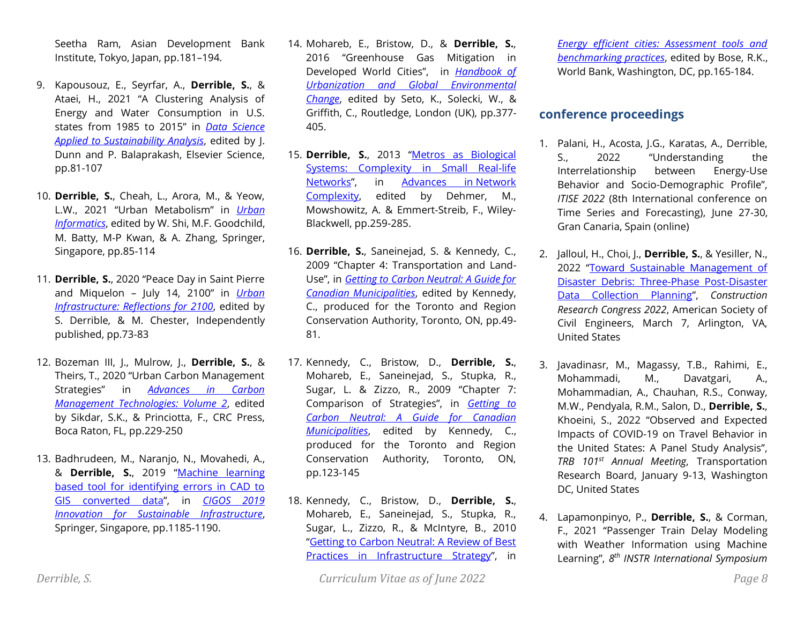Seetha Ram, Asian Development Bank Institute, Tokyo, Japan, pp.181–194.

- 9. Kapousouz, E., Seyrfar, A., **Derrible, S.**, & Ataei, H., 2021 "A Clustering Analysis of Energy and Water Consumption in U.S. states from 1985 to 2015" in *[Data Science](https://www.elsevier.com/books/data-science-applied-to-sustainability-analysis/dunn/978-0-12-817976-5)  [Applied to Sustainability Analysis](https://www.elsevier.com/books/data-science-applied-to-sustainability-analysis/dunn/978-0-12-817976-5)*, edited by J. Dunn and P. Balaprakash, Elsevier Science, pp.81-107
- 10. **Derrible, S.**, Cheah, L., Arora, M., & Yeow, L.W., 2021 "Urban Metabolism" in *[Urban](https://www.springer.com/gp/book/9789811589829)  [Informatics](https://www.springer.com/gp/book/9789811589829)*, edited by W. Shi, M.F. Goodchild, M. Batty, M-P Kwan, & A. Zhang, Springer, Singapore, pp.85-114
- 11. **Derrible, S.**, 2020 "Peace Day in Saint Pierre and Miquelon – July 14, 2100" in *[Urban](https://www.amazon.com/dp/B08LG6FG48/)  [Infrastructure: Reflections for 2100](https://www.amazon.com/dp/B08LG6FG48/)*, edited by S. Derrible, & M. Chester, Independently published, pp.73-83
- 12. Bozeman III, J., Mulrow, J., **Derrible, S.**, & Theirs, T., 2020 "Urban Carbon Management Strategies" in *[Advances in Carbon](https://www.routledge.com/Advances-in-Carbon-Management-Technologies-Biomass-Utilization-Manufacturing/Sikdar-Princiotta/p/book/9780367520496)  [Management Technologies: Volume 2](https://www.routledge.com/Advances-in-Carbon-Management-Technologies-Biomass-Utilization-Manufacturing/Sikdar-Princiotta/p/book/9780367520496)*, edited by Sikdar, S.K., & Princiotta, F., CRC Press, Boca Raton, FL, pp.229-250
- 13. Badhrudeen, M., Naranjo, N., Movahedi, A., & **Derrible, S.**, 2019 "[Machine learning](https://link.springer.com/chapter/10.1007/978-981-15-0802-8_190)  [based tool for identifying errors in CAD to](https://link.springer.com/chapter/10.1007/978-981-15-0802-8_190)  [GIS converted data](https://link.springer.com/chapter/10.1007/978-981-15-0802-8_190)", in *[CIGOS 2019](https://link.springer.com/book/10.1007%2F978-981-15-0802-8)  [Innovation for Sustainable Infrastructure](https://link.springer.com/book/10.1007%2F978-981-15-0802-8)*, Springer, Singapore, pp.1185-1190.
- 14. Mohareb, E., Bristow, D., & **Derrible, S.**, 2016 "Greenhouse Gas Mitigation in Developed World Cities", in *[Handbook of](https://www.routledge.com/products/9780415732260)  [Urbanization and Global Environmental](https://www.routledge.com/products/9780415732260)  [Change](https://www.routledge.com/products/9780415732260)*, edited by Seto, K., Solecki, W., & Griffith, C., Routledge, London (UK), pp.377- 405.
- 15. **Derrible, S.**, 2013 "[Metros as Biological](http://onlinelibrary.wiley.com/doi/10.1002/9783527670468.ch12/summary)  [Systems: Complexity in Small Real-life](http://onlinelibrary.wiley.com/doi/10.1002/9783527670468.ch12/summary)  [Networks](http://onlinelibrary.wiley.com/doi/10.1002/9783527670468.ch12/summary)", in [Advances in](http://onlinelibrary.wiley.com/book/10.1002/9783527670468) Network [Complexity,](http://onlinelibrary.wiley.com/book/10.1002/9783527670468) edited by Dehmer, M., Mowshowitz, A. & Emmert-Streib, F., Wiley-Blackwell, pp.259-285.
- 16. **Derrible, S.**, Saneinejad, S. & Kennedy, C., 2009 "Chapter 4: Transportation and Land-Use", in *[Getting to Carbon Neutral: A Guide for](http://www.trca.on.ca/dotAsset/81361.pdf)  [Canadian Municipalities](http://www.trca.on.ca/dotAsset/81361.pdf)*, edited by Kennedy, C., produced for the Toronto and Region Conservation Authority, Toronto, ON, pp.49- 81.
- 17. Kennedy, C., Bristow, D., **Derrible, S.**, Mohareb, E., Saneinejad, S., Stupka, R., Sugar, L. & Zizzo, R., 2009 "Chapter 7: Comparison of Strategies", in *[Getting to](http://www.trca.on.ca/dotAsset/81361.pdf)  [Carbon Neutral: A Guide for Canadian](http://www.trca.on.ca/dotAsset/81361.pdf)  [Municipalities](http://www.trca.on.ca/dotAsset/81361.pdf)*, edited by Kennedy, C., produced for the Toronto and Region Conservation Authority, Toronto, ON, pp.123-145
- 18. Kennedy, C., Bristow, D., **Derrible, S.**, Mohareb, E., Saneinejad, S., Stupka, R., Sugar, L., Zizzo, R., & McIntyre, B., 2010 "[Getting to Carbon Neutral: A Review of Best](http://books.google.com/books?id=WhHgf0yq1roC&pg=PA165&lpg=PA165&dq=Getting+to+Carbon+Neutral:+A+Review+of+Best+Practices+in+Infratructure+Strategy&source=bl&ots=QkXLqkJeqi&sig=JQIYGf5S6WWRPrPAiriBGC9tgfc&hl=en&ei=n3JbTK2CHYiCsQPoyI1L&sa=X&oi=book_result&c)  [Practices in Infrastructure Strategy](http://books.google.com/books?id=WhHgf0yq1roC&pg=PA165&lpg=PA165&dq=Getting+to+Carbon+Neutral:+A+Review+of+Best+Practices+in+Infratructure+Strategy&source=bl&ots=QkXLqkJeqi&sig=JQIYGf5S6WWRPrPAiriBGC9tgfc&hl=en&ei=n3JbTK2CHYiCsQPoyI1L&sa=X&oi=book_result&c)", in

*[Energy efficient cities: Assessment tools and](http://www.amazon.com/Energy-Efficient-Cities-Assessment-Benchmarking/dp/0821381040)  [benchmarking practices](http://www.amazon.com/Energy-Efficient-Cities-Assessment-Benchmarking/dp/0821381040)*, edited by Bose, R.K., World Bank, Washington, DC, pp.165-184.

## **conference proceedings**

- 1. Palani, H., Acosta, J.G., Karatas, A., Derrible, S., 2022 "Understanding the Interrelationship between Energy-Use Behavior and Socio-Demographic Profile", *ITISE 2022* (8th International conference on Time Series and Forecasting), June 27-30, Gran Canaria, Spain (online)
- 2. Jalloul, H., Choi, J., **Derrible, S.**, & Yesiller, N., 2022 "[Toward Sustainable Management of](https://doi.org/10.1061/9780784483954.055)  [Disaster Debris: Three-Phase Post-Disaster](https://doi.org/10.1061/9780784483954.055)  [Data Collection Planning](https://doi.org/10.1061/9780784483954.055)", *Construction Research Congress 2022*, American Society of Civil Engineers, March 7, Arlington, VA, United States
- 3. Javadinasr, M., Magassy, T.B., Rahimi, E., Mohammadi, M., Davatgari, A., Mohammadian, A., Chauhan, R.S., Conway, M.W., Pendyala, R.M., Salon, D., **Derrible, S.**, Khoeini, S., 2022 "Observed and Expected Impacts of COVID-19 on Travel Behavior in the United States: A Panel Study Analysis", *TRB 101st Annual Meeting*, Transportation Research Board, January 9-13, Washington DC, United States
- 4. Lapamonpinyo, P., **Derrible, S.**, & Corman, F., 2021 "Passenger Train Delay Modeling with Weather Information using Machine Learning", *8 th INSTR International Symposium*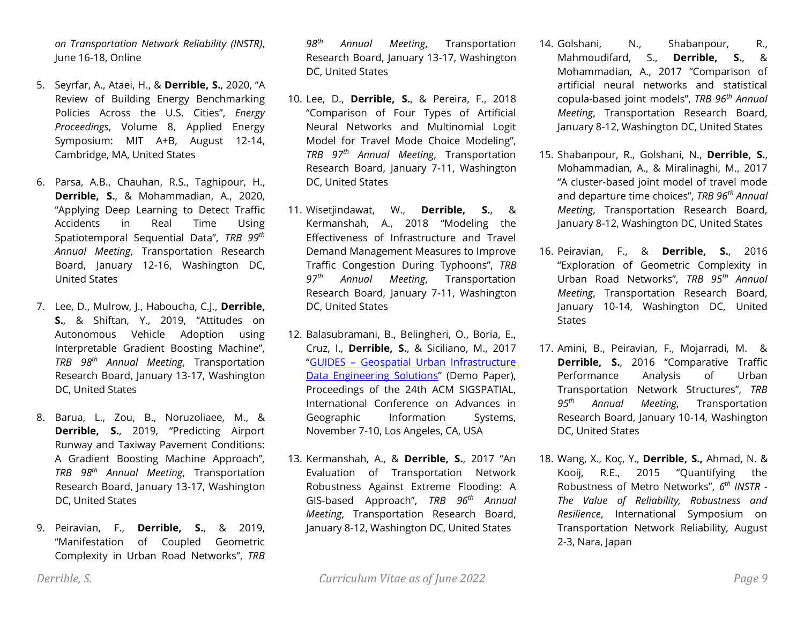*on Transportation Network Reliability (INSTR)*, June 16-18, Online

- 5. Seyrfar, A., Ataei, H., & **Derrible, S.**, 2020, "A Review of Building Energy Benchmarking Policies Across the U.S. Cities", *Energy Proceedings*, Volume 8, Applied Energy Symposium: MIT A+B, August 12-14, Cambridge, MA, United States
- 6. Parsa, A.B., Chauhan, R.S., Taghipour, H., **Derrible, S.**, & Mohammadian, A., 2020, "Applying Deep Learning to Detect Traffic Accidents in Real Time Using Spatiotemporal Sequential Data", *TRB 99 th Annual Meeting*, Transportation Research Board, January 12-16, Washington DC, United States
- 7. Lee, D., Mulrow, J., Haboucha, C.J., **Derrible, S.**, & Shiftan, Y., 2019, "Attitudes on Autonomous Vehicle Adoption using Interpretable Gradient Boosting Machine", *TRB 98 th Annual Meeting*, Transportation Research Board, January 13-17, Washington DC, United States
- 8. Barua, L., Zou, B., Noruzoliaee, M., & **Derrible, S.**, 2019, "Predicting Airport Runway and Taxiway Pavement Conditions: A Gradient Boosting Machine Approach", *TRB 98 th Annual Meeting*, Transportation Research Board, January 13-17, Washington DC, United States
- 9. Peiravian, F., **Derrible, S.**, & 2019, "Manifestation of Coupled Geometric Complexity in Urban Road Networks", *TRB*

*98 th Annual Meeting*, Transportation Research Board, January 13-17, Washington DC, United States

- 10. Lee, D., **Derrible, S.**, & Pereira, F., 2018 "Comparison of Four Types of Artificial Neural Networks and Multinomial Logit Model for Travel Mode Choice Modeling", *TRB 97th Annual Meeting*, Transportation Research Board, January 7-11, Washington DC, United States
- 11. Wisetjindawat, W., **Derrible, S.**, & Kermanshah, A., 2018 "Modeling the Effectiveness of Infrastructure and Travel Demand Management Measures to Improve Traffic Congestion During Typhoons", *TRB 97th Annual Meeting*, Transportation Research Board, January 7-11, Washington DC, United States
- 12. Balasubramani, B., Belingheri, O., Boria, E., Cruz, I., **Derrible, S.**, & Siciliano, M., 2017 "GUIDES – [Geospatial Urban Infrastructure](https://arxiv.org/abs/1710.04144)  [Data Engineering Solutions](https://arxiv.org/abs/1710.04144)" (Demo Paper), Proceedings of the 24th ACM SIGSPATIAL, International Conference on Advances in Geographic Information Systems, November 7-10, Los Angeles, CA, USA
- 13. Kermanshah, A., & **Derrible, S.**, 2017 "An Evaluation of Transportation Network Robustness Against Extreme Flooding: A GIS-based Approach", *TRB 96th Annual Meeting*, Transportation Research Board, January 8-12, Washington DC, United States
- 14. Golshani, N., Shabanpour, R., Mahmoudifard, S., **Derrible, S.**, & Mohammadian, A., 2017 "Comparison of artificial neural networks and statistical copula-based joint models", *TRB 96th Annual Meeting*, Transportation Research Board, January 8-12, Washington DC, United States
- 15. Shabanpour, R., Golshani, N., **Derrible, S.**, Mohammadian, A., & Miralinaghi, M., 2017 "A cluster-based joint model of travel mode and departure time choices", *TRB 96th Annual Meeting*, Transportation Research Board, January 8-12, Washington DC, United States
- 16. Peiravian, F., & **Derrible, S.**, 2016 "Exploration of Geometric Complexity in Urban Road Networks", *TRB 95th Annual Meeting*, Transportation Research Board, January 10-14, Washington DC, United **States**
- 17. Amini, B., Peiravian, F., Mojarradi, M. & **Derrible, S.**, 2016 "Comparative Traffic Performance Analysis of Urban Transportation Network Structures", *TRB 95th Annual Meeting*, Transportation Research Board, January 10-14, Washington DC, United States
- 18. Wang, X., Koç, Y., **Derrible, S.,** Ahmad, N. & Kooij, R.E., 2015 "Quantifying the Robustness of Metro Networks", *6 th INSTR - The Value of Reliability, Robustness and Resilience*, International Symposium on Transportation Network Reliability, August 2-3, Nara, Japan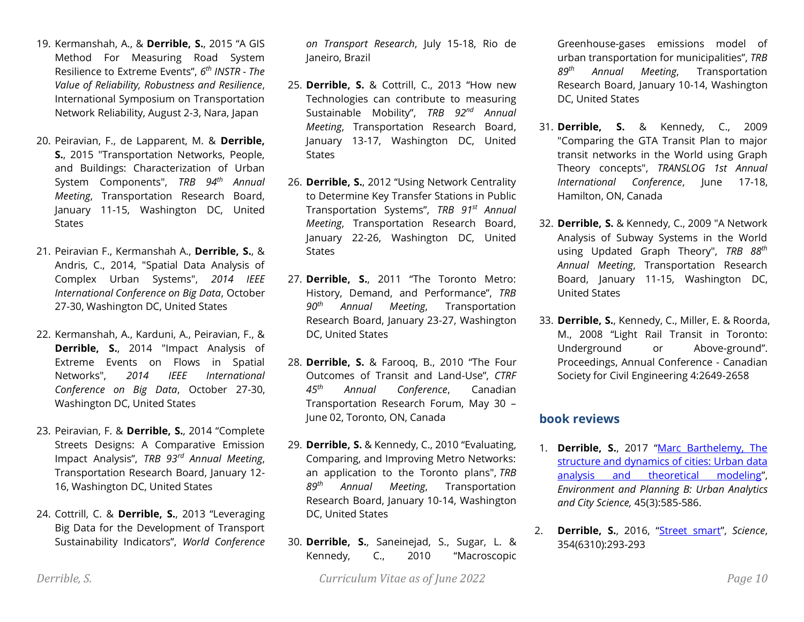- 19. Kermanshah, A., & **Derrible, S.**, 2015 "A GIS Method For Measuring Road System Resilience to Extreme Events", *6 th INSTR - The Value of Reliability, Robustness and Resilience*, International Symposium on Transportation Network Reliability, August 2-3, Nara, Japan
- 20. Peiravian, F., de Lapparent, M. & **Derrible, S.**, 2015 "Transportation Networks, People, and Buildings: Characterization of Urban System Components", *TRB 94th Annual Meeting*, Transportation Research Board, January 11-15, Washington DC, United **States**
- 21. Peiravian F., Kermanshah A., **Derrible, S.**, & Andris, C., 2014, "Spatial Data Analysis of Complex Urban Systems", *2014 IEEE International Conference on Big Data*, October 27-30, Washington DC, United States
- 22. Kermanshah, A., Karduni, A., Peiravian, F., & **Derrible, S.**, 2014 "Impact Analysis of Extreme Events on Flows in Spatial Networks", *2014 IEEE International Conference on Big Data*, October 27-30, Washington DC, United States
- 23. Peiravian, F. & **Derrible, S.**, 2014 "Complete Streets Designs: A Comparative Emission Impact Analysis", *TRB 93rd Annual Meeting*, Transportation Research Board, January 12- 16, Washington DC, United States
- 24. Cottrill, C. & **Derrible, S.**, 2013 "Leveraging Big Data for the Development of Transport Sustainability Indicators", *World Conference*

*on Transport Research*, July 15-18, Rio de Janeiro, Brazil

- 25. **Derrible, S.** & Cottrill, C., 2013 "How new Technologies can contribute to measuring Sustainable Mobility", *TRB 92nd Annual Meeting*, Transportation Research Board, January 13-17, Washington DC, United **States**
- 26. **Derrible, S.**, 2012 "Using Network Centrality to Determine Key Transfer Stations in Public Transportation Systems", *TRB 91st Annual Meeting*, Transportation Research Board, January 22-26, Washington DC, United **States**
- 27. **Derrible, S.**, 2011 "The Toronto Metro: History, Demand, and Performance", *TRB 90th Annual Meeting*, Transportation Research Board, January 23-27, Washington DC, United States
- 28. **Derrible, S.** & Farooq, B., 2010 "The Four Outcomes of Transit and Land-Use", *CTRF 45th Annual Conference*, Canadian Transportation Research Forum, May 30 – June 02, Toronto, ON, Canada
- 29. **Derrible, S.** & Kennedy, C., 2010 "Evaluating, Comparing, and Improving Metro Networks: an application to the Toronto plans", *TRB 89th Annual Meeting*, Transportation Research Board, January 10-14, Washington DC, United States
- 30. **Derrible, S.**, Saneinejad, S., Sugar, L. & Kennedy, C., 2010 "Macroscopic

Greenhouse-gases emissions model of urban transportation for municipalities", *TRB 89th Annual Meeting*, Transportation Research Board, January 10-14, Washington DC, United States

- 31. **Derrible, S.** & Kennedy, C., 2009 "Comparing the GTA Transit Plan to major transit networks in the World using Graph Theory concepts", *TRANSLOG 1st Annual International Conference*, June 17-18, Hamilton, ON, Canada
- 32. **Derrible, S.** & Kennedy, C., 2009 "A Network Analysis of Subway Systems in the World using Updated Graph Theory", *TRB 88th Annual Meeting*, Transportation Research Board, January 11-15, Washington DC, United States
- 33. **Derrible, S.**, Kennedy, C., Miller, E. & Roorda, M., 2008 "Light Rail Transit in Toronto: Underground or Above-ground". Proceedings, Annual Conference - Canadian Society for Civil Engineering 4:2649-2658

## **book reviews**

- 1. **Derrible, S.**, 2017 "[Marc Barthelemy, The](http://journals.sagepub.com/doi/abs/10.1177/2399808317721785)  [structure and dynamics of cities: Urban data](http://journals.sagepub.com/doi/abs/10.1177/2399808317721785)  [analysis and theoretical modeling](http://journals.sagepub.com/doi/abs/10.1177/2399808317721785)", *Environment and Planning B: Urban Analytics and City Science,* 45(3):585-586.
- 2. **Derrible, S.**, 2016, "[Street smart](http://science.sciencemag.org/content/354/6310/293)", *Science*, 354(6310):293-293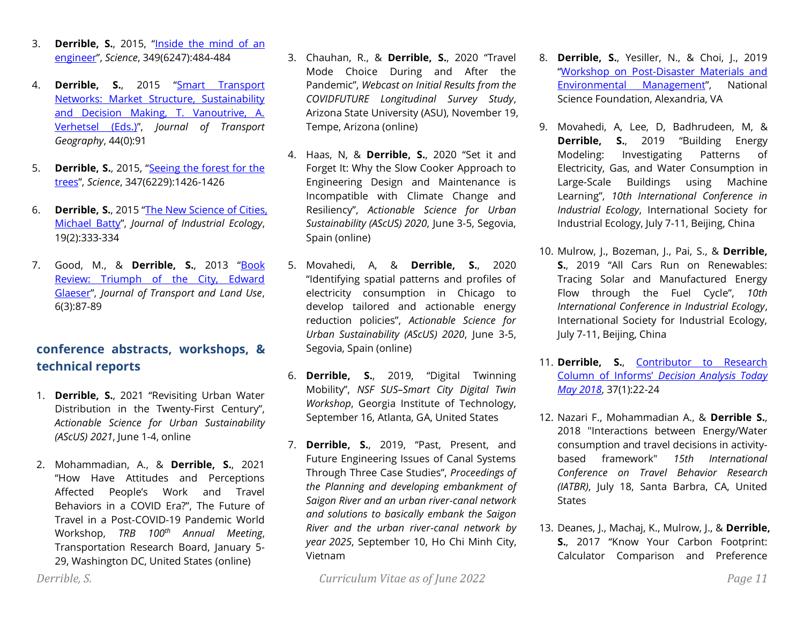- 3. **Derrible, S.**, 2015, "[Inside the mind of an](http://www.sciencemag.org/content/349/6247/484.1)  [engineer](http://www.sciencemag.org/content/349/6247/484.1)", *Science*, 349(6247):484-484
- 4. **Derrible, S.**, 2015 "[Smart Transport](http://www.sciencedirect.com/science/article/pii/S0966692315000502)  [Networks: Market Structure, Sustainability](http://www.sciencedirect.com/science/article/pii/S0966692315000502)  [and Decision Making, T. Vanoutrive, A.](http://www.sciencedirect.com/science/article/pii/S0966692315000502)  [Verhetsel \(Eds.\)](http://www.sciencedirect.com/science/article/pii/S0966692315000502)", *Journal of Transport Geography*, 44(0):91
- 5. **Derrible, S.**, 2015, "[Seeing the forest for the](http://www.sciencemag.org/content/347/6229/1426.1)  [trees](http://www.sciencemag.org/content/347/6229/1426.1)", *Science*, 347(6229):1426-1426
- 6. **Derrible, S.**, 2015 "[The New Science of Cities,](http://onlinelibrary.wiley.com/doi/10.1111/jiec.12223/abstract)  [Michael Batty](http://onlinelibrary.wiley.com/doi/10.1111/jiec.12223/abstract)", *Journal of Industrial Ecology*, 19(2):333-334
- 7. Good, M., & **Derrible, S.**, 2013 "[Book](https://www.jtlu.org/index.php/jtlu/article/view/466)  [Review: Triumph of the City, Edward](https://www.jtlu.org/index.php/jtlu/article/view/466)  [Glaeser](https://www.jtlu.org/index.php/jtlu/article/view/466)", *Journal of Transport and Land Use*, 6(3):87-89

# **conference abstracts, workshops, & technical reports**

- 1. **Derrible, S.**, 2021 "Revisiting Urban Water Distribution in the Twenty-First Century", *Actionable Science for Urban Sustainability (AScUS) 2021*, June 1-4, online
- 2. Mohammadian, A., & **Derrible, S.**, 2021 "How Have Attitudes and Perceptions Affected People's Work and Travel Behaviors in a COVID Era?", The Future of Travel in a Post-COVID-19 Pandemic World Workshop, *TRB 100th Annual Meeting*, Transportation Research Board, January 5- 29, Washington DC, United States (online)
- 3. Chauhan, R., & **Derrible, S.**, 2020 "Travel Mode Choice During and After the Pandemic", *Webcast on Initial Results from the COVIDFUTURE Longitudinal Survey Study*, Arizona State University (ASU), November 19, Tempe, Arizona (online)
- 4. Haas, N, & **Derrible, S.**, 2020 "Set it and Forget It: Why the Slow Cooker Approach to Engineering Design and Maintenance is Incompatible with Climate Change and Resiliency", *Actionable Science for Urban Sustainability (AScUS) 2020*, June 3-5, Segovia, Spain (online)
- 5. Movahedi, A, & **Derrible, S.**, 2020 "Identifying spatial patterns and profiles of electricity consumption in Chicago to develop tailored and actionable energy reduction policies", *Actionable Science for Urban Sustainability (AScUS) 2020*, June 3-5, Segovia, Spain (online)
- 6. **Derrible, S.**, 2019, "Digital Twinning Mobility", *NSF SUS–Smart City Digital Twin Workshop*, Georgia Institute of Technology, September 16, Atlanta, GA, United States
- 7. **Derrible, S.**, 2019, "Past, Present, and Future Engineering Issues of Canal Systems Through Three Case Studies", *Proceedings of the Planning and developing embankment of Saigon River and an urban river-canal network and solutions to basically embank the Saigon River and the urban river-canal network by year 2025*, September 10, Ho Chi Minh City, Vietnam
- *Derrible, S. Curriculum Vitae as of June 2022 Page 11*
- 8. **Derrible, S.**, Yesiller, N., & Choi, J., 2019 "[Workshop on Post-Disaster Materials and](https://csun.uic.edu/publication/files/NSF_PDMEM_Final_Report.pdf)  [Environmental Management](https://csun.uic.edu/publication/files/NSF_PDMEM_Final_Report.pdf)", National Science Foundation, Alexandria, VA
- 9. Movahedi, A, Lee, D, Badhrudeen, M, & **Derrible, S.**, 2019 "Building Energy Modeling: Investigating Patterns of Electricity, Gas, and Water Consumption in Large-Scale Buildings using Machine Learning", *10th International Conference in Industrial Ecology*, International Society for Industrial Ecology, July 7-11, Beijing, China
- 10. Mulrow, J., Bozeman, J., Pai, S., & **Derrible, S.**, 2019 "All Cars Run on Renewables: Tracing Solar and Manufactured Energy Flow through the Fuel Cycle", *10th International Conference in Industrial Ecology*, International Society for Industrial Ecology, July 7-11, Beijing, China
- 11. **Derrible, S.**, [Contributor to Research](http://higherlogicdownload.s3.amazonaws.com/INFORMS/f0ea61b6-e74c-4c07-894d-884bf2882e55/UploadedImages/Decision_Analysis_Today_May_2018.pdf)  Column of Informs' *[Decision Analysis Today](http://higherlogicdownload.s3.amazonaws.com/INFORMS/f0ea61b6-e74c-4c07-894d-884bf2882e55/UploadedImages/Decision_Analysis_Today_May_2018.pdf)  [May 2018](http://higherlogicdownload.s3.amazonaws.com/INFORMS/f0ea61b6-e74c-4c07-894d-884bf2882e55/UploadedImages/Decision_Analysis_Today_May_2018.pdf)*, 37(1):22-24
- 12. Nazari F., Mohammadian A., & **Derrible S.**, 2018 "Interactions between Energy/Water consumption and travel decisions in activitybased framework" *15th International Conference on Travel Behavior Research (IATBR)*, July 18, Santa Barbra, CA, United **States**
- 13. Deanes, J., Machaj, K., Mulrow, J., & **Derrible, S.**, 2017 "Know Your Carbon Footprint: Calculator Comparison and Preference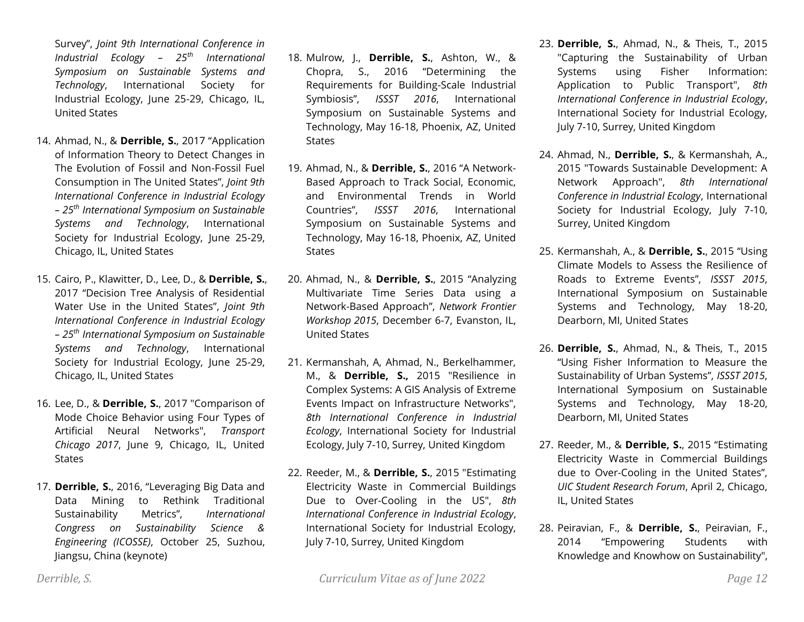Survey", *Joint 9th International Conference in Industrial Ecology – 25th International Symposium on Sustainable Systems and Technology*, International Society for Industrial Ecology, June 25-29, Chicago, IL, United States

- 14. Ahmad, N., & **Derrible, S.**, 2017 "Application of Information Theory to Detect Changes in The Evolution of Fossil and Non-Fossil Fuel Consumption in The United States", *Joint 9th International Conference in Industrial Ecology – 25th International Symposium on Sustainable Systems and Technology*, International Society for Industrial Ecology, June 25-29, Chicago, IL, United States
- 15. Cairo, P., Klawitter, D., Lee, D., & **Derrible, S.**, 2017 "Decision Tree Analysis of Residential Water Use in the United States", *Joint 9th International Conference in Industrial Ecology – 25th International Symposium on Sustainable Systems and Technology*, International Society for Industrial Ecology, June 25-29, Chicago, IL, United States
- 16. Lee, D., & **Derrible, S.**, 2017 "Comparison of Mode Choice Behavior using Four Types of Artificial Neural Networks", *Transport Chicago 2017*, June 9, Chicago, IL, United **States**
- 17. **Derrible, S.**, 2016, "Leveraging Big Data and Data Mining to Rethink Traditional Sustainability Metrics", *International Congress on Sustainability Science & Engineering (ICOSSE)*, October 25, Suzhou, Jiangsu, China (keynote)
- 18. Mulrow, J., **Derrible, S.**, Ashton, W., & Chopra, S., 2016 "Determining the Requirements for Building-Scale Industrial Symbiosis", *ISSST 2016*, International Symposium on Sustainable Systems and Technology, May 16-18, Phoenix, AZ, United **States**
- 19. Ahmad, N., & **Derrible, S.**, 2016 "A Network-Based Approach to Track Social, Economic, and Environmental Trends in World Countries", *ISSST 2016*, International Symposium on Sustainable Systems and Technology, May 16-18, Phoenix, AZ, United **States**
- 20. Ahmad, N., & **Derrible, S.**, 2015 "Analyzing Multivariate Time Series Data using a Network-Based Approach", *Network Frontier Workshop 2015*, December 6-7, Evanston, IL, United States
- 21. Kermanshah, A, Ahmad, N., Berkelhammer, M., & **Derrible, S.,** 2015 "Resilience in Complex Systems: A GIS Analysis of Extreme Events Impact on Infrastructure Networks", *8th International Conference in Industrial Ecology*, International Society for Industrial Ecology, July 7-10, Surrey, United Kingdom
- 22. Reeder, M., & **Derrible, S.**, 2015 "Estimating Electricity Waste in Commercial Buildings Due to Over-Cooling in the US", *8th International Conference in Industrial Ecology*, International Society for Industrial Ecology, July 7-10, Surrey, United Kingdom
- 23. **Derrible, S.**, Ahmad, N., & Theis, T., 2015 "Capturing the Sustainability of Urban Systems using Fisher Information: Application to Public Transport", *8th International Conference in Industrial Ecology*, International Society for Industrial Ecology, July 7-10, Surrey, United Kingdom
- 24. Ahmad, N., **Derrible, S.**, & Kermanshah, A., 2015 "Towards Sustainable Development: A Network Approach", *8th International Conference in Industrial Ecology*, International Society for Industrial Ecology, July 7-10, Surrey, United Kingdom
- 25. Kermanshah, A., & **Derrible, S.**, 2015 "Using Climate Models to Assess the Resilience of Roads to Extreme Events", *ISSST 2015*, International Symposium on Sustainable Systems and Technology, May 18-20, Dearborn, MI, United States
- 26. **Derrible, S.**, Ahmad, N., & Theis, T., 2015 "Using Fisher Information to Measure the Sustainability of Urban Systems", *ISSST 2015*, International Symposium on Sustainable Systems and Technology, May 18-20, Dearborn, MI, United States
- 27. Reeder, M., & **Derrible, S.**, 2015 "Estimating Electricity Waste in Commercial Buildings due to Over-Cooling in the United States", *UIC Student Research Forum*, April 2, Chicago, IL, United States
- 28. Peiravian, F., & **Derrible, S.**, Peiravian, F., 2014 "Empowering Students with Knowledge and Knowhow on Sustainability",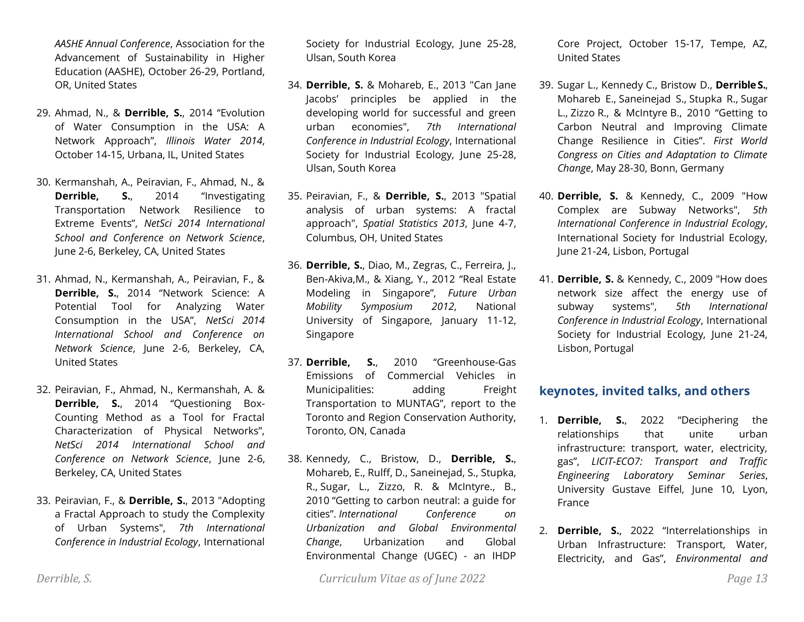*AASHE Annual Conference*, Association for the Advancement of Sustainability in Higher Education (AASHE), October 26-29, Portland, OR, United States

- 29. Ahmad, N., & **Derrible, S.**, 2014 "Evolution of Water Consumption in the USA: A Network Approach", *Illinois Water 2014*, October 14-15, Urbana, IL, United States
- 30. Kermanshah, A., Peiravian, F., Ahmad, N., & **Derrible, S.**, 2014 "Investigating Transportation Network Resilience to Extreme Events", *NetSci 2014 International School and Conference on Network Science*, June 2-6, Berkeley, CA, United States
- 31. Ahmad, N., Kermanshah, A., Peiravian, F., & **Derrible, S.**, 2014 "Network Science: A Potential Tool for Analyzing Water Consumption in the USA", *NetSci 2014 International School and Conference on Network Science*, June 2-6, Berkeley, CA, United States
- 32. Peiravian, F., Ahmad, N., Kermanshah, A. & **Derrible, S.**, 2014 "Questioning Box-Counting Method as a Tool for Fractal Characterization of Physical Networks", *NetSci 2014 International School and Conference on Network Science*, June 2-6, Berkeley, CA, United States
- 33. Peiravian, F., & **Derrible, S.**, 2013 "Adopting a Fractal Approach to study the Complexity of Urban Systems", *7th International Conference in Industrial Ecology*, International

Society for Industrial Ecology, June 25-28, Ulsan, South Korea

- 34. **Derrible, S.** & Mohareb, E., 2013 "Can Jane Jacobs' principles be applied in the developing world for successful and green urban economies", *7th International Conference in Industrial Ecology*, International Society for Industrial Ecology, June 25-28, Ulsan, South Korea
- 35. Peiravian, F., & **Derrible, S.**, 2013 "Spatial analysis of urban systems: A fractal approach", *Spatial Statistics 2013*, June 4-7, Columbus, OH, United States
- 36. **Derrible, S.**, Diao, M., Zegras, C., Ferreira, J., Ben-Akiva,M., & Xiang, Y., 2012 "Real Estate Modeling in Singapore", *Future Urban Mobility Symposium 2012*, National University of Singapore, January 11-12, Singapore
- 37. **Derrible, S.**, 2010 "Greenhouse-Gas Emissions of Commercial Vehicles in Municipalities: adding Freight Transportation to MUNTAG", report to the Toronto and Region Conservation Authority, Toronto, ON, Canada
- 38. Kennedy, C., Bristow, D., **Derrible, S.**, Mohareb, E., Rulff, D., Saneinejad, S., Stupka, R., Sugar, L., Zizzo, R. & McIntyre., B., 2010 "Getting to carbon neutral: a guide for cities". *International Conference on Urbanization and Global Environmental Change*, Urbanization and Global Environmental Change (UGEC) - an IHDP

Core Project, October 15-17, Tempe, AZ, United States

- 39. Sugar L., Kennedy C., Bristow D., **DerribleS.**, Mohareb E., Saneinejad S., Stupka R., Sugar L., Zizzo R., & McIntyre B., 2010 "Getting to Carbon Neutral and Improving Climate Change Resilience in Cities". *First World Congress on Cities and Adaptation to Climate Change*, May 28-30, Bonn, Germany
- 40. **Derrible, S.** & Kennedy, C., 2009 "How Complex are Subway Networks", *5th International Conference in Industrial Ecology*, International Society for Industrial Ecology, June 21-24, Lisbon, Portugal
- 41. **Derrible, S.** & Kennedy, C., 2009 "How does network size affect the energy use of subway systems", *5th International Conference in Industrial Ecology*, International Society for Industrial Ecology, June 21-24, Lisbon, Portugal

## **keynotes, invited talks, and others**

- 1. **Derrible, S.**, 2022 "Deciphering the relationships that unite urban infrastructure: transport, water, electricity, gas", *LICIT-ECO7: Transport and Traffic Engineering Laboratory Seminar Series*, University Gustave Eiffel, June 10, Lyon, France
- 2. **Derrible, S.**, 2022 "Interrelationships in Urban Infrastructure: Transport, Water, Electricity, and Gas", *Environmental and*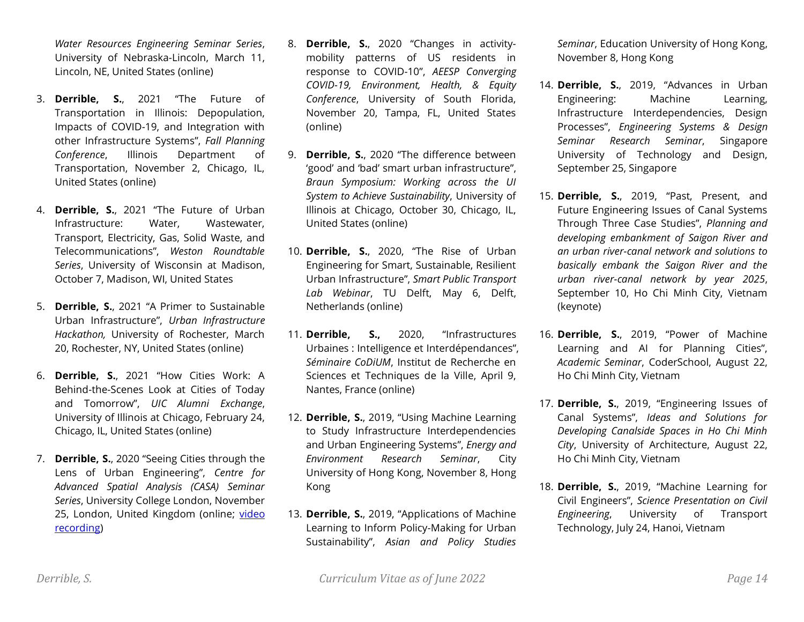*Water Resources Engineering Seminar Series*, University of Nebraska-Lincoln, March 11, Lincoln, NE, United States (online)

- 3. **Derrible, S.**, 2021 "The Future of Transportation in Illinois: Depopulation, Impacts of COVID-19, and Integration with other Infrastructure Systems", *Fall Planning Conference*, Illinois Department of Transportation, November 2, Chicago, IL, United States (online)
- 4. **Derrible, S.**, 2021 "The Future of Urban Infrastructure: Water, Wastewater, Transport, Electricity, Gas, Solid Waste, and Telecommunications", *Weston Roundtable Series*, University of Wisconsin at Madison, October 7, Madison, WI, United States
- 5. **Derrible, S.**, 2021 "A Primer to Sustainable Urban Infrastructure", *Urban Infrastructure Hackathon,* University of Rochester, March 20, Rochester, NY, United States (online)
- 6. **Derrible, S.**, 2021 "How Cities Work: A Behind-the-Scenes Look at Cities of Today and Tomorrow", *UIC Alumni Exchange*, University of Illinois at Chicago, February 24, Chicago, IL, United States (online)
- 7. **Derrible, S.**, 2020 "Seeing Cities through the Lens of Urban Engineering", *Centre for Advanced Spatial Analysis (CASA) Seminar Series*, University College London, November 25, London, United Kingdom (online; [video](https://nam04.safelinks.protection.outlook.com/?url=https%3A%2F%2Fliveuclac-my.sharepoint.com%2F%3Av%3A%2Fg%2Fpersonal%2Fucftb48_ucl_ac_uk%2FEfx5hemuK-pDv8ZzXvRx9bsByOVHu7213NKgLO2ABYu3LQ%3Fe%3DdcAPoa&data=04%7C01%7Cderrible%40uic.edu%7C464ff7527700419766ec08d8dda7eb1b%7Ce202cd477a564baa99e3e3b71a7c77dd%7C0%7C0%7C637503060575894075%7CUnknown%7CTWFpbGZsb3d8eyJWIjoiMC4wLjAwMDAiLCJQIjoiV2luMzIiLCJBTiI6Ik1haWwiLCJXVCI6Mn0%3D%7C1000&sdata=fybYr6o35%2FR4rumkX349IXr840EIJf2pMqPzqEVtLpE%3D&reserved=0)  [recording\)](https://nam04.safelinks.protection.outlook.com/?url=https%3A%2F%2Fliveuclac-my.sharepoint.com%2F%3Av%3A%2Fg%2Fpersonal%2Fucftb48_ucl_ac_uk%2FEfx5hemuK-pDv8ZzXvRx9bsByOVHu7213NKgLO2ABYu3LQ%3Fe%3DdcAPoa&data=04%7C01%7Cderrible%40uic.edu%7C464ff7527700419766ec08d8dda7eb1b%7Ce202cd477a564baa99e3e3b71a7c77dd%7C0%7C0%7C637503060575894075%7CUnknown%7CTWFpbGZsb3d8eyJWIjoiMC4wLjAwMDAiLCJQIjoiV2luMzIiLCJBTiI6Ik1haWwiLCJXVCI6Mn0%3D%7C1000&sdata=fybYr6o35%2FR4rumkX349IXr840EIJf2pMqPzqEVtLpE%3D&reserved=0)
- 8. **Derrible, S.**, 2020 "Changes in activitymobility patterns of US residents in response to COVID-10", *AEESP Converging COVID-19, Environment, Health, & Equity Conference*, University of South Florida, November 20, Tampa, FL, United States (online)
- 9. **Derrible, S.**, 2020 "The difference between 'good' and 'bad' smart urban infrastructure", *Braun Symposium: Working across the UI System to Achieve Sustainability*, University of Illinois at Chicago, October 30, Chicago, IL, United States (online)
- 10. **Derrible, S.**, 2020, "The Rise of Urban Engineering for Smart, Sustainable, Resilient Urban Infrastructure", *Smart Public Transport Lab Webinar*, TU Delft, May 6, Delft, Netherlands (online)
- 11. **Derrible, S.,** 2020, "Infrastructures Urbaines : Intelligence et Interdépendances", *Séminaire CoDiUM*, Institut de Recherche en Sciences et Techniques de la Ville, April 9, Nantes, France (online)
- 12. **Derrible, S.**, 2019, "Using Machine Learning to Study Infrastructure Interdependencies and Urban Engineering Systems", *Energy and Environment Research Seminar*, City University of Hong Kong, November 8, Hong Kong
- 13. **Derrible, S.**, 2019, "Applications of Machine Learning to Inform Policy-Making for Urban Sustainability", *Asian and Policy Studies*

*Seminar*, Education University of Hong Kong, November 8, Hong Kong

- 14. **Derrible, S.**, 2019, "Advances in Urban Engineering: Machine Learning, Infrastructure Interdependencies, Design Processes", *Engineering Systems & Design Seminar Research Seminar*, Singapore University of Technology and Design, September 25, Singapore
- 15. **Derrible, S.**, 2019, "Past, Present, and Future Engineering Issues of Canal Systems Through Three Case Studies", *Planning and developing embankment of Saigon River and an urban river-canal network and solutions to basically embank the Saigon River and the urban river-canal network by year 2025*, September 10, Ho Chi Minh City, Vietnam (keynote)
- 16. **Derrible, S.**, 2019, "Power of Machine Learning and AI for Planning Cities", *Academic Seminar*, CoderSchool, August 22, Ho Chi Minh City, Vietnam
- 17. **Derrible, S.**, 2019, "Engineering Issues of Canal Systems", *Ideas and Solutions for Developing Canalside Spaces in Ho Chi Minh City*, University of Architecture, August 22, Ho Chi Minh City, Vietnam
- 18. **Derrible, S.**, 2019, "Machine Learning for Civil Engineers", *Science Presentation on Civil Engineering*, University of Transport Technology, July 24, Hanoi, Vietnam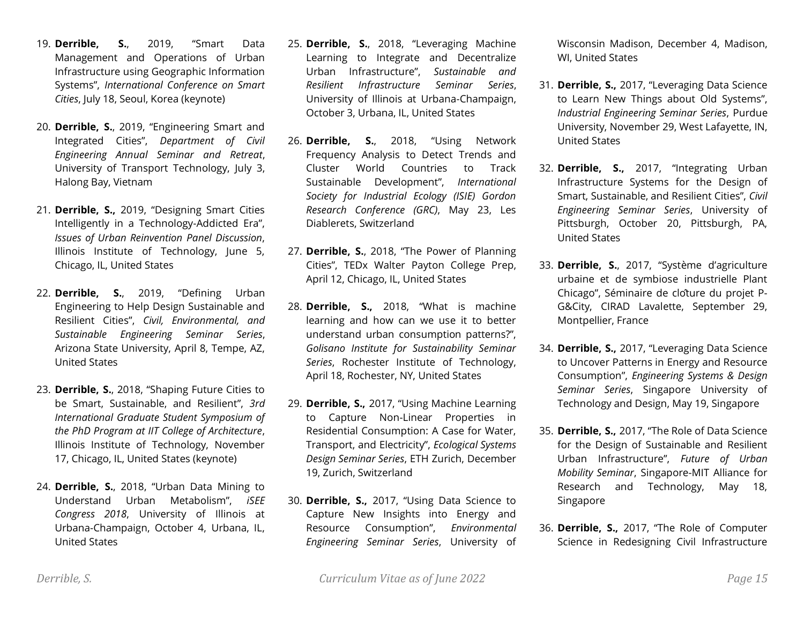- 19. **Derrible, S.**, 2019, "Smart Data Management and Operations of Urban Infrastructure using Geographic Information Systems", *International Conference on Smart Cities*, July 18, Seoul, Korea (keynote)
- 20. **Derrible, S.**, 2019, "Engineering Smart and Integrated Cities", *Department of Civil Engineering Annual Seminar and Retreat*, University of Transport Technology, July 3, Halong Bay, Vietnam
- 21. **Derrible, S.,** 2019, "Designing Smart Cities Intelligently in a Technology-Addicted Era", *Issues of Urban Reinvention Panel Discussion*, Illinois Institute of Technology, June 5, Chicago, IL, United States
- 22. **Derrible, S.**, 2019, "Defining Urban Engineering to Help Design Sustainable and Resilient Cities", *Civil, Environmental, and Sustainable Engineering Seminar Series*, Arizona State University, April 8, Tempe, AZ, United States
- 23. **Derrible, S.**, 2018, "Shaping Future Cities to be Smart, Sustainable, and Resilient", *3rd International Graduate Student Symposium of the PhD Program at IIT College of Architecture*, Illinois Institute of Technology, November 17, Chicago, IL, United States (keynote)
- 24. **Derrible, S.**, 2018, "Urban Data Mining to Understand Urban Metabolism", *iSEE Congress 2018*, University of Illinois at Urbana-Champaign, October 4, Urbana, IL, United States
- 25. **Derrible, S.**, 2018, "Leveraging Machine Learning to Integrate and Decentralize Urban Infrastructure", *Sustainable and Resilient Infrastructure Seminar Series*, University of Illinois at Urbana-Champaign, October 3, Urbana, IL, United States
- 26. **Derrible, S.**, 2018, "Using Network Frequency Analysis to Detect Trends and Cluster World Countries to Track Sustainable Development", *International Society for Industrial Ecology (ISIE) Gordon Research Conference (GRC)*, May 23, Les Diablerets, Switzerland
- 27. **Derrible, S.**, 2018, "The Power of Planning Cities", TEDx Walter Payton College Prep, April 12, Chicago, IL, United States
- 28. **Derrible, S.,** 2018, "What is machine learning and how can we use it to better understand urban consumption patterns?", *Golisano Institute for Sustainability Seminar Series*, Rochester Institute of Technology, April 18, Rochester, NY, United States
- 29. **Derrible, S.,** 2017, "Using Machine Learning to Capture Non-Linear Properties in Residential Consumption: A Case for Water, Transport, and Electricity", *Ecological Systems Design Seminar Series*, ETH Zurich, December 19, Zurich, Switzerland
- 30. **Derrible, S.,** 2017, "Using Data Science to Capture New Insights into Energy and Resource Consumption", *Environmental Engineering Seminar Series*, University of

Wisconsin Madison, December 4, Madison, WI, United States

- 31. **Derrible, S.,** 2017, "Leveraging Data Science to Learn New Things about Old Systems", *Industrial Engineering Seminar Series*, Purdue University, November 29, West Lafayette, IN, United States
- 32. **Derrible, S.,** 2017, "Integrating Urban Infrastructure Systems for the Design of Smart, Sustainable, and Resilient Cities", *Civil Engineering Seminar Series*, University of Pittsburgh, October 20, Pittsburgh, PA, United States
- 33. **Derrible, S.**, 2017, "Système d'agriculture urbaine et de symbiose industrielle Plant Chicago", Séminaire de clôture du projet P-G&City, CIRAD Lavalette, September 29, Montpellier, France
- 34. **Derrible, S.,** 2017, "Leveraging Data Science to Uncover Patterns in Energy and Resource Consumption", *Engineering Systems & Design Seminar Series*, Singapore University of Technology and Design, May 19, Singapore
- 35. **Derrible, S.,** 2017, "The Role of Data Science for the Design of Sustainable and Resilient Urban Infrastructure", *Future of Urban Mobility Seminar*, Singapore-MIT Alliance for Research and Technology, May 18, Singapore
- 36. **Derrible, S.,** 2017, "The Role of Computer Science in Redesigning Civil Infrastructure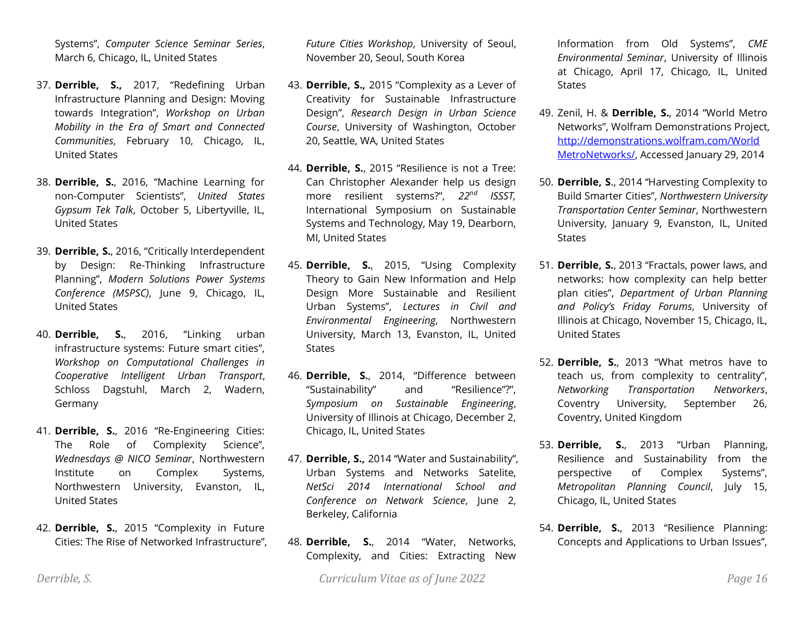Systems", *Computer Science Seminar Series*, March 6, Chicago, IL, United States

- 37. **Derrible, S.,** 2017, "Redefining Urban Infrastructure Planning and Design: Moving towards Integration", *Workshop on Urban Mobility in the Era of Smart and Connected Communities*, February 10, Chicago, IL, United States
- 38. **Derrible, S.**, 2016, "Machine Learning for non-Computer Scientists", *United States Gypsum Tek Talk*, October 5, Libertyville, IL, United States
- 39. **Derrible, S.**, 2016, "Critically Interdependent by Design: Re-Thinking Infrastructure Planning", *Modern Solutions Power Systems Conference (MSPSC)*, June 9, Chicago, IL, United States
- 40. **Derrible, S.**, 2016, "Linking urban infrastructure systems: Future smart cities", *Workshop on Computational Challenges in Cooperative Intelligent Urban Transport*, Schloss Dagstuhl, March 2, Wadern, Germany
- 41. **Derrible, S.**, 2016 "Re-Engineering Cities: The Role of Complexity Science", *Wednesdays @ NICO Seminar*, Northwestern Institute on Complex Systems, Northwestern University, Evanston, IL, United States
- 42. **Derrible, S.**, 2015 "Complexity in Future Cities: The Rise of Networked Infrastructure",

*Future Cities Workshop*, University of Seoul, November 20, Seoul, South Korea

- 43. **Derrible, S.,** 2015 "Complexity as a Lever of Creativity for Sustainable Infrastructure Design", *Research Design in Urban Science Course*, University of Washington, October 20, Seattle, WA, United States
- 44. **Derrible, S.**, 2015 "Resilience is not a Tree: Can Christopher Alexander help us design more resilient systems?", *22nd ISSST,*  International Symposium on Sustainable Systems and Technology, May 19, Dearborn, MI, United States
- 45. **Derrible, S.**, 2015, "Using Complexity Theory to Gain New Information and Help Design More Sustainable and Resilient Urban Systems", *Lectures in Civil and Environmental Engineering*, Northwestern University, March 13, Evanston, IL, United **States**
- 46. **Derrible, S.**, 2014, "Difference between "Sustainability" and "Resilience"?", *Symposium on Sustainable Engineering*, University of Illinois at Chicago, December 2, Chicago, IL, United States
- 47. **Derrible, S.,** 2014 "Water and Sustainability", Urban Systems and Networks Satelite, *NetSci 2014 International School and Conference on Network Science*, June 2, Berkeley, California
- 48. **Derrible, S.**, 2014 "Water, Networks, Complexity, and Cities: Extracting New

Information from Old Systems", *CME Environmental Seminar*, University of Illinois at Chicago, April 17, Chicago, IL, United **States** 

- 49. Zenil, H. & **Derrible, S.**, 2014 "World Metro Networks", Wolfram Demonstrations Project, [http://demonstrations.wolfram.com/World](http://demonstrations.wolfram.com/WorldMetroNetworks/) [MetroNetworks/,](http://demonstrations.wolfram.com/WorldMetroNetworks/) Accessed January 29, 2014
- 50. **Derrible, S**., 2014 "Harvesting Complexity to Build Smarter Cities", *Northwestern University Transportation Center Seminar*, Northwestern University, January 9, Evanston, IL, United **States**
- 51. **Derrible, S.**, 2013 "Fractals, power laws, and networks: how complexity can help better plan cities", *Department of Urban Planning and Policy's Friday Forums*, University of Illinois at Chicago, November 15, Chicago, IL, United States
- 52. **Derrible, S.**, 2013 "What metros have to teach us, from complexity to centrality", *Networking Transportation Networkers*, Coventry University, September 26, Coventry, United Kingdom
- 53. **Derrible, S.**, 2013 "Urban Planning, Resilience and Sustainability from the perspective of Complex Systems", *Metropolitan Planning Council*, July 15, Chicago, IL, United States
- 54. **Derrible, S.**, 2013 "Resilience Planning: Concepts and Applications to Urban Issues",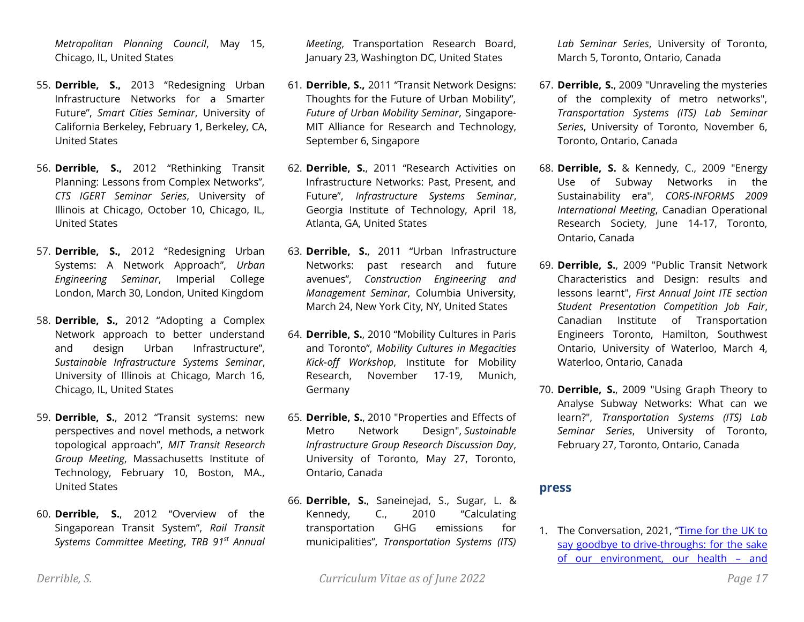*Metropolitan Planning Council*, May 15, Chicago, IL, United States

- 55. **Derrible, S.,** 2013 "Redesigning Urban Infrastructure Networks for a Smarter Future", *Smart Cities Seminar*, University of California Berkeley, February 1, Berkeley, CA, United States
- 56. **Derrible, S.,** 2012 "Rethinking Transit Planning: Lessons from Complex Networks", *CTS IGERT Seminar Series*, University of Illinois at Chicago, October 10, Chicago, IL, United States
- 57. **Derrible, S.,** 2012 "Redesigning Urban Systems: A Network Approach", *Urban Engineering Seminar*, Imperial College London, March 30, London, United Kingdom
- 58. **Derrible, S.,** 2012 "Adopting a Complex Network approach to better understand and design Urban Infrastructure", *Sustainable Infrastructure Systems Seminar*, University of Illinois at Chicago, March 16, Chicago, IL, United States
- 59. **Derrible, S.**, 2012 "Transit systems: new perspectives and novel methods, a network topological approach", *MIT Transit Research Group Meeting*, Massachusetts Institute of Technology, February 10, Boston, MA., United States
- 60. **Derrible, S.**, 2012 "Overview of the Singaporean Transit System", *Rail Transit Systems Committee Meeting*, *TRB 91st Annual*

*Meeting*, Transportation Research Board, January 23, Washington DC, United States

- 61. **Derrible, S.,** 2011 "Transit Network Designs: Thoughts for the Future of Urban Mobility", *Future of Urban Mobility Seminar*, Singapore-MIT Alliance for Research and Technology, September 6, Singapore
- 62. **Derrible, S.**, 2011 "Research Activities on Infrastructure Networks: Past, Present, and Future", *Infrastructure Systems Seminar*, Georgia Institute of Technology, April 18, Atlanta, GA, United States
- 63. **Derrible, S.**, 2011 "Urban Infrastructure Networks: past research and future avenues", *Construction Engineering and Management Seminar*, Columbia University, March 24, New York City, NY, United States
- 64. **Derrible, S.**, 2010 "Mobility Cultures in Paris and Toronto", *Mobility Cultures in Megacities Kick-off Workshop*, Institute for Mobility Research, November 17-19, Munich, Germany
- 65. **Derrible, S.**, 2010 "Properties and Effects of Metro Network Design", *Sustainable Infrastructure Group Research Discussion Day*, University of Toronto, May 27, Toronto, Ontario, Canada
- 66. **Derrible, S.**, Saneinejad, S., Sugar, L. & Kennedy, C., 2010 "Calculating transportation GHG emissions for municipalities", *Transportation Systems (ITS)*

*Lab Seminar Series*, University of Toronto, March 5, Toronto, Ontario, Canada

- 67. **Derrible, S.**, 2009 "Unraveling the mysteries of the complexity of metro networks", *Transportation Systems (ITS) Lab Seminar Series*, University of Toronto, November 6, Toronto, Ontario, Canada
- 68. **Derrible, S.** & Kennedy, C., 2009 "Energy Use of Subway Networks in the Sustainability era", *CORS-INFORMS 2009 International Meeting*, Canadian Operational Research Society, June 14-17, Toronto, Ontario, Canada
- 69. **Derrible, S.**, 2009 "Public Transit Network Characteristics and Design: results and lessons learnt", *First Annual Joint ITE section Student Presentation Competition Job Fair*, Canadian Institute of Transportation Engineers Toronto, Hamilton, Southwest Ontario, University of Waterloo, March 4, Waterloo, Ontario, Canada
- 70. **Derrible, S.**, 2009 "Using Graph Theory to Analyse Subway Networks: What can we learn?", *Transportation Systems (ITS) Lab Seminar Series*, University of Toronto, February 27, Toronto, Ontario, Canada

#### **press**

1. The Conversation, 2021, "Time for the UK to say goodbye to [drive-throughs: for the sake](https://theconversation.com/time-for-the-uk-to-say-goodbye-to-drive-throughs-for-the-sake-of-our-environment-our-health-and-our-culture-175556)  [of our environment, our health](https://theconversation.com/time-for-the-uk-to-say-goodbye-to-drive-throughs-for-the-sake-of-our-environment-our-health-and-our-culture-175556) – and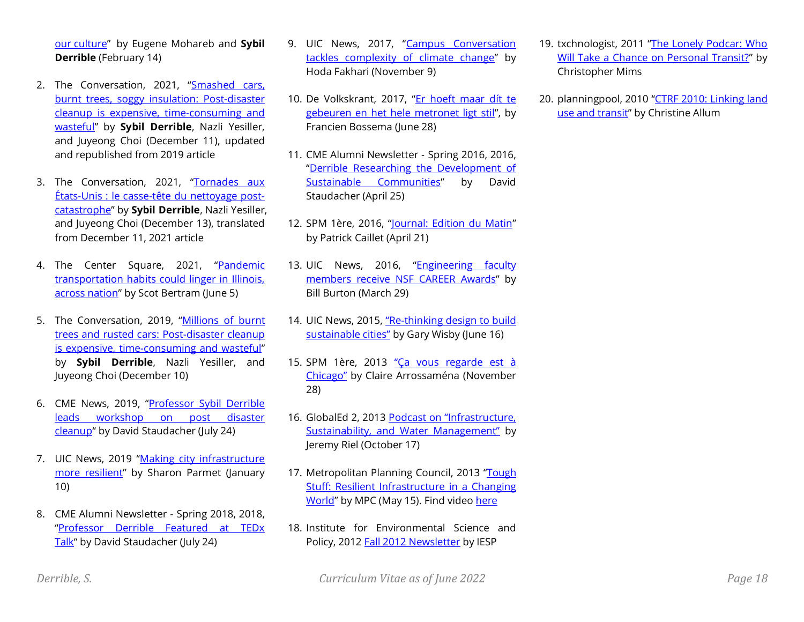our [culture](https://theconversation.com/time-for-the-uk-to-say-goodbye-to-drive-throughs-for-the-sake-of-our-environment-our-health-and-our-culture-175556)" by Eugene Mohareb and **Sybil Derrible** (February 14)

- 2. The Conversation, 2021, "Smashed cars, [burnt trees, soggy insulation: Post-disaster](https://theconversation.com/smashed-cars-burnt-trees-soggy-insulation-post-disaster-cleanup-is-expensive-time-consuming-and-wasteful-123566)  [cleanup is expensive, time-consuming and](https://theconversation.com/smashed-cars-burnt-trees-soggy-insulation-post-disaster-cleanup-is-expensive-time-consuming-and-wasteful-123566)  [wasteful](https://theconversation.com/smashed-cars-burnt-trees-soggy-insulation-post-disaster-cleanup-is-expensive-time-consuming-and-wasteful-123566)" by **Sybil Derrible**, Nazli Yesiller, and Juyeong Choi (December 11), updated and republished from 2019 article
- 3. The Conversation, 2021, "[Tornades aux](https://theconversation.com/tornades-aux-etats-unis-le-casse-tete-du-nettoyage-post-catastrophe-173673)  [États-Unis : le casse-tête du nettoyage post](https://theconversation.com/tornades-aux-etats-unis-le-casse-tete-du-nettoyage-post-catastrophe-173673)[catastrophe](https://theconversation.com/tornades-aux-etats-unis-le-casse-tete-du-nettoyage-post-catastrophe-173673)" by **Sybil Derrible**, Nazli Yesiller, and Juyeong Choi (December 13), translated from December 11, 2021 article
- 4. The Center Square, 2021, "[Pandemic](https://www.thecentersquare.com/illinois/pandemic-transportation-habits-could-linger-in-illinois-across-nation/article_0eb185f0-c553-11eb-8890-079cea5dc502.html)  [transportation habits could linger in Illinois,](https://www.thecentersquare.com/illinois/pandemic-transportation-habits-could-linger-in-illinois-across-nation/article_0eb185f0-c553-11eb-8890-079cea5dc502.html)  [across nation](https://www.thecentersquare.com/illinois/pandemic-transportation-habits-could-linger-in-illinois-across-nation/article_0eb185f0-c553-11eb-8890-079cea5dc502.html)" by Scot Bertram (June 5)
- 5. The Conversation, 2019, "[Millions of burnt](http://theconversation.com/millions-of-burnt-trees-and-rusted-cars-post-disaster-cleanup-is-expensive-time-consuming-and-wasteful-123566)  [trees and rusted cars: Post-disaster cleanup](http://theconversation.com/millions-of-burnt-trees-and-rusted-cars-post-disaster-cleanup-is-expensive-time-consuming-and-wasteful-123566)  [is expensive, time-consuming and wasteful](http://theconversation.com/millions-of-burnt-trees-and-rusted-cars-post-disaster-cleanup-is-expensive-time-consuming-and-wasteful-123566)" by **Sybil Derrible**, Nazli Yesiller, and Juyeong Choi (December 10)
- 6. CME News, 2019, "Professor Sybil Derrible [leads workshop on post disaster](https://cme.uic.edu/news-stories/professor-sybil-derrible-leads-workshop-on-post-disaster-cleanup/)  [cleanup](https://cme.uic.edu/news-stories/professor-sybil-derrible-leads-workshop-on-post-disaster-cleanup/)" by David Staudacher (July 24)
- 7. UIC News, 2019 "Making city infrastructure [more resilient](https://today.uic.edu/making-city-infrastructure-more-resilient)" by Sharon Parmet (January 10)
- 8. CME Alumni Newsletter Spring 2018, 2018, "[Professor Derrible Featured at TEDx](https://cme.uic.edu/2018/07/24/newsletter-highlights-the-first-half-of-2018/)  [Talk](https://cme.uic.edu/2018/07/24/newsletter-highlights-the-first-half-of-2018/)" by David Staudacher (July 24)
- 9. UIC News, 2017, "[Campus Conversation](https://today.uic.edu/campus-conversation-tackles-complexity-of-climate-change)  [tackles complexity of climate change](https://today.uic.edu/campus-conversation-tackles-complexity-of-climate-change)" by Hoda Fakhari (November 9)
- 10. De Volkskrant, 2017, "[Er hoeft maar dít te](http://www.volkskrant.nl/wetenschap/er-hoeft-maar-dit-te-gebeuren-en-het-hele-metronet-ligt-stil~a4503063/)  [gebeuren en het hele metronet ligt stil](http://www.volkskrant.nl/wetenschap/er-hoeft-maar-dit-te-gebeuren-en-het-hele-metronet-ligt-stil~a4503063/)", by Francien Bossema (June 28)
- 11. CME Alumni Newsletter Spring 2016, 2016, "[Derrible Researching the Development of](https://issuu.com/coeuic/docs/cme_alumni_newsletter_spring_2016/1)  [Sustainable Communities](https://issuu.com/coeuic/docs/cme_alumni_newsletter_spring_2016/1)" by David Staudacher (April 25)
- 12. SPM 1ère, 2016, "[Journal: Edition du Matin](http://la1ere.francetvinfo.fr/saintpierremiquelon/emissions-radio/le-journal-de-8h15)" by Patrick Caillet (April 21)
- 13. UIC News, 2016, "[Engineering faculty](https://news.uic.edu/engineering-faculty-members-receive-nsf-career-awards)  [members receive NSF CAREER Awards](https://news.uic.edu/engineering-faculty-members-receive-nsf-career-awards)" by Bill Burton (March 29)
- 14. UIC News, 2015, "Re-thinking design to build [sustainable cities"](http://news.uic.edu/re-thinking-design-to-build-sustainable-cities) by Gary Wisby (June 16)
- 15. SPM 1ère, 2013 "Ça [vous regarde est à](http://saintpierremiquelon.la1ere.fr/emissions/ca-vous-regarde)  [Chicago](http://saintpierremiquelon.la1ere.fr/emissions/ca-vous-regarde)" by Claire Arrossaména (November 28)
- 16. GlobalEd 2, 2013 Podcast on "Infrastructure, [Sustainability, and Water Management"](http://vimeo.com/76991236) by Jeremy Riel (October 17)
- 17. Metropolitan Planning Council, 2013 "Tough [Stuff: Resilient Infrastructure in a Changing](http://www.metroplanning.org/news-events/event/221)  [World](http://www.metroplanning.org/news-events/event/221)" by MPC (May 15). Find vide[o here](http://www.youtube.com/watch?v=uSpertXJX-c)
- 18. Institute for Environmental Science and Policy, 2012 [Fall 2012 Newsletter](http://iesp.uic.edu/Publications/IESPFall2012Newsletter.pdf) by IESP
- 19. txchnologist, 2011 "[The Lonely Podcar: Who](http://www.txchnologist.com/2011/the-lonely-podcar-who-will-take-a-chance-on-personal-rapid-transit)  [Will Take a Chance on Personal Transit?](http://www.txchnologist.com/2011/the-lonely-podcar-who-will-take-a-chance-on-personal-rapid-transit)" by Christopher Mims
- 20. planningpool, 2010 "[CTRF 2010: Linking land](http://planningpool.com/2010/06/event-review/ctrf-2010-linking-land-transit/)  [use and transit](http://planningpool.com/2010/06/event-review/ctrf-2010-linking-land-transit/)" by Christine Allum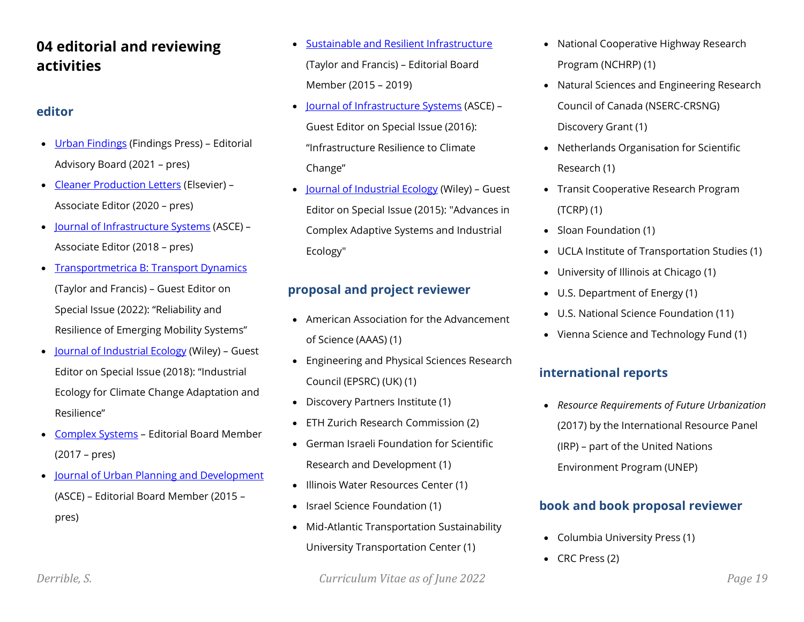# **04 editorial and reviewing activities**

# **editor**

- [Urban Findings](https://findingspress.org/section/1833-urban-findings) (Findings Press) Editorial Advisory Board (2021 – pres)
- [Cleaner Production Letters](https://www.elsevier.com/journals/cleaner-production-letters/2666-7916) (Elsevier) Associate Editor (2020 – pres)
- [Journal of Infrastructure Systems](https://ascelibrary.org/journal/jitse4) (ASCE) Associate Editor (2018 – pres)
- **[Transportmetrica B: Transport Dynamics](https://www.tandfonline.com/toc/ttrb20/current)** (Taylor and Francis) – Guest Editor on Special Issue (2022): "Reliability and Resilience of Emerging Mobility Systems"
- [Journal of Industrial Ecology](https://onlinelibrary.wiley.com/journal/15309290) (Wiley) Guest Editor on Special Issue (2018): "Industrial Ecology for Climate Change Adaptation and Resilience"
- [Complex Systems](https://www.complex-systems.com/) Editorial Board Member (2017 – pres)
- [Journal of Urban Planning and Development](https://ascelibrary.org/journal/jupddm) (ASCE) – Editorial Board Member (2015 – pres)
- [Sustainable and Resilient Infrastructure](https://www.tandfonline.com/toc/tsri20/current) (Taylor and Francis) – Editorial Board Member (2015 – 2019)
- [Journal of Infrastructure Systems](https://ascelibrary.org/journal/jitse4) (ASCE) Guest Editor on Special Issue (2016): "Infrastructure Resilience to Climate Change"
- [Journal of Industrial Ecology](https://onlinelibrary.wiley.com/journal/15309290) (Wiley) Guest Editor on Special Issue (2015): "Advances in Complex Adaptive Systems and Industrial Ecology"

# **proposal and project reviewer**

- American Association for the Advancement of Science (AAAS) (1)
- Engineering and Physical Sciences Research Council (EPSRC) (UK) (1)
- Discovery Partners Institute (1)
- ETH Zurich Research Commission (2)
- German Israeli Foundation for Scientific Research and Development (1)
- Illinois Water Resources Center (1)
- Israel Science Foundation (1)
- Mid-Atlantic Transportation Sustainability University Transportation Center (1)
- National Cooperative Highway Research Program (NCHRP) (1)
- Natural Sciences and Engineering Research Council of Canada (NSERC-CRSNG) Discovery Grant (1)
- Netherlands Organisation for Scientific Research (1)
- Transit Cooperative Research Program (TCRP) (1)
- Sloan Foundation (1)
- UCLA Institute of Transportation Studies (1)
- University of Illinois at Chicago (1)
- U.S. Department of Energy (1)
- U.S. National Science Foundation (11)
- Vienna Science and Technology Fund (1)

# **international reports**

• *Resource Requirements of Future Urbanization* (2017) by the International Resource Panel (IRP) – part of the United Nations Environment Program (UNEP)

# **book and book proposal reviewer**

- Columbia University Press (1)
- CRC Press (2)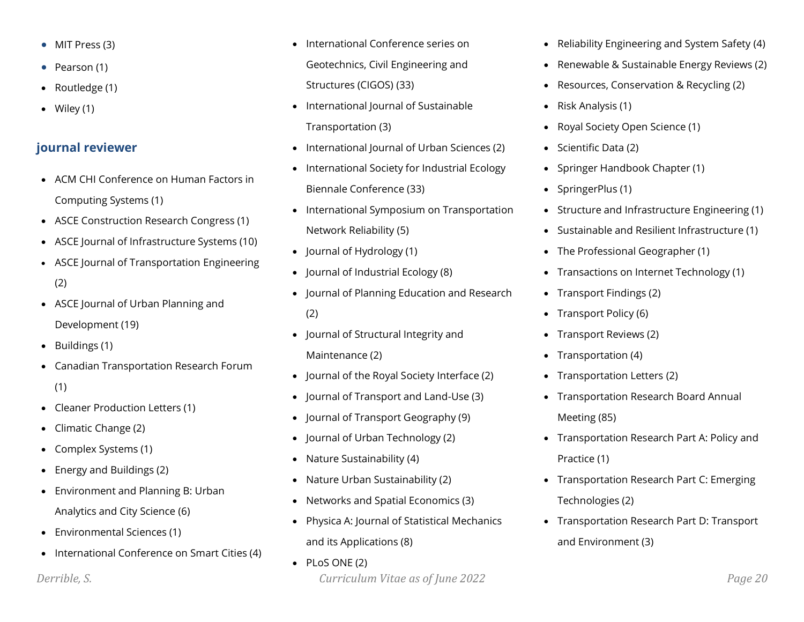- MIT Press (3)
- Pearson (1)
- Routledge (1)
- Wiley (1)

# **journal reviewer**

- ACM CHI Conference on Human Factors in Computing Systems (1)
- ASCE Construction Research Congress (1)
- ASCE Journal of Infrastructure Systems (10)
- ASCE Journal of Transportation Engineering (2)
- ASCE Journal of Urban Planning and Development (19)
- Buildings (1)
- Canadian Transportation Research Forum (1)
- Cleaner Production Letters (1)
- Climatic Change (2)
- Complex Systems (1)
- Energy and Buildings (2)
- Environment and Planning B: Urban Analytics and City Science (6)
- Environmental Sciences (1)
- International Conference on Smart Cities (4)
- International Conference series on Geotechnics, Civil Engineering and Structures (CIGOS) (33)
- International Journal of Sustainable Transportation (3)
- International Journal of Urban Sciences (2)
- International Society for Industrial Ecology Biennale Conference (33)
- International Symposium on Transportation Network Reliability (5)
- Journal of Hydrology (1)
- Journal of Industrial Ecology (8)
- Journal of Planning Education and Research (2)
- Journal of Structural Integrity and Maintenance (2)
- Journal of the Royal Society Interface (2)
- Journal of Transport and Land-Use (3)
- Journal of Transport Geography (9)
- Journal of Urban Technology (2)
- Nature Sustainability (4)
- Nature Urban Sustainability (2)
- Networks and Spatial Economics (3)
- Physica A: Journal of Statistical Mechanics and its Applications (8)
- *Derrible, S. Curriculum Vitae as of June 2022 Page 20* • PLoS ONE (2)
- Reliability Engineering and System Safety (4)
- Renewable & Sustainable Energy Reviews (2)
- Resources, Conservation & Recycling (2)
- Risk Analysis (1)
- Royal Society Open Science (1)
- Scientific Data (2)
- Springer Handbook Chapter (1)
- SpringerPlus (1)
- Structure and Infrastructure Engineering (1)
- Sustainable and Resilient Infrastructure (1)
- The Professional Geographer (1)
- Transactions on Internet Technology (1)
- Transport Findings (2)
- Transport Policy (6)
- Transport Reviews (2)
- Transportation (4)
- Transportation Letters (2)
- Transportation Research Board Annual Meeting (85)
- Transportation Research Part A: Policy and Practice (1)
- Transportation Research Part C: Emerging Technologies (2)
- Transportation Research Part D: Transport and Environment (3)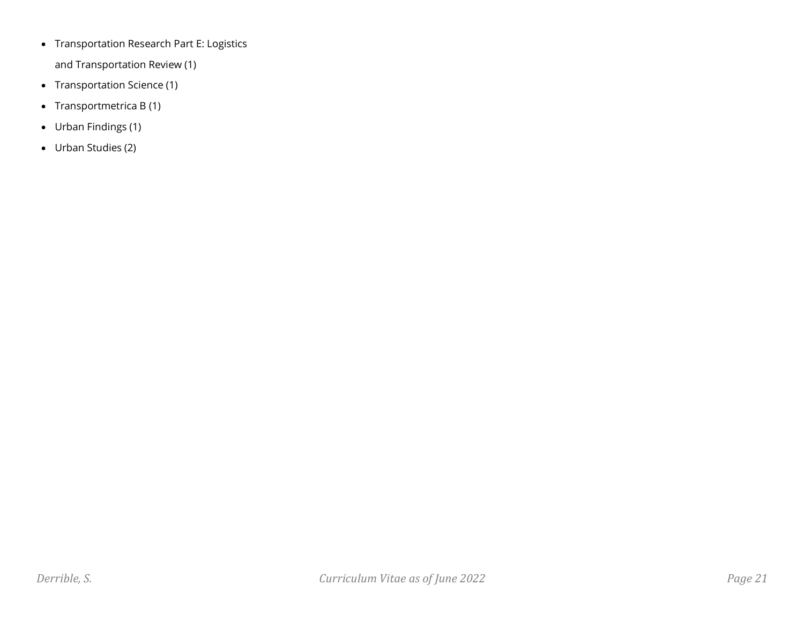• Transportation Research Part E: Logistics

and Transportation Review (1)

- Transportation Science (1)
- Transportmetrica B (1)
- Urban Findings (1)
- Urban Studies (2)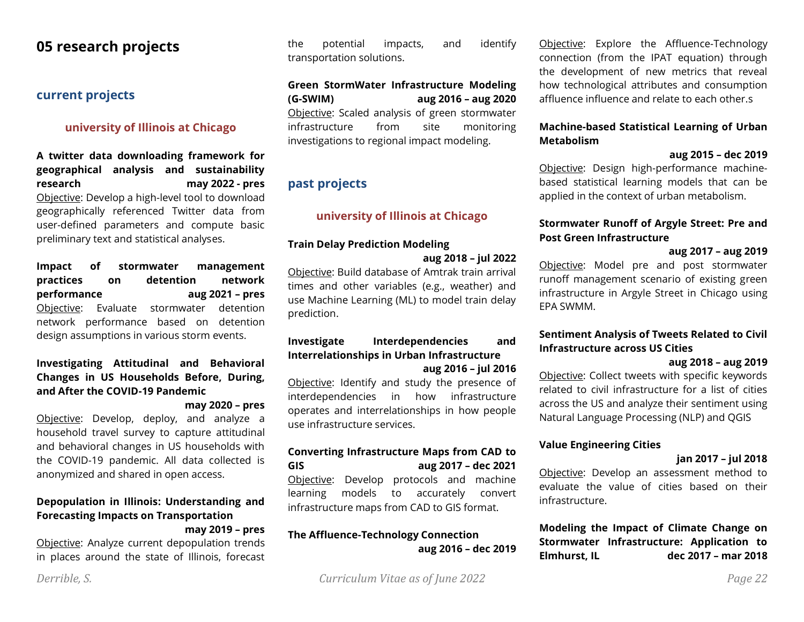# **05 research projects**

# **current projects**

### **university of Illinois at Chicago**

**A twitter data downloading framework for geographical analysis and sustainability research may 2022 - pres** Objective: Develop a high-level tool to download geographically referenced Twitter data from user-defined parameters and compute basic preliminary text and statistical analyses.

**Impact of stormwater management practices on detention network performance aug 2021 – pres** Objective: Evaluate stormwater detention network performance based on detention design assumptions in various storm events.

#### **Investigating Attitudinal and Behavioral Changes in US Households Before, During, and After the COVID-19 Pandemic**

#### **may 2020 – pres**

Objective: Develop, deploy, and analyze a household travel survey to capture attitudinal and behavioral changes in US households with the COVID-19 pandemic. All data collected is anonymized and shared in open access.

#### **Depopulation in Illinois: Understanding and Forecasting Impacts on Transportation may 2019 – pres**

Objective: Analyze current depopulation trends in places around the state of Illinois, forecast

the potential impacts, and identify transportation solutions.

## **Green StormWater Infrastructure Modeling (G-SWIM) aug 2016 – aug 2020** Objective: Scaled analysis of green stormwater infrastructure from site monitoring

investigations to regional impact modeling.

# **past projects**

#### **university of Illinois at Chicago**

#### **Train Delay Prediction Modeling**

#### **aug 2018 – jul 2022**

Objective: Build database of Amtrak train arrival times and other variables (e.g., weather) and use Machine Learning (ML) to model train delay prediction.

#### **Investigate Interdependencies and Interrelationships in Urban Infrastructure aug 2016 – jul 2016**

Objective: Identify and study the presence of interdependencies in how infrastructure operates and interrelationships in how people use infrastructure services.

#### **Converting Infrastructure Maps from CAD to GIS aug 2017 – dec 2021**

Objective: Develop protocols and machine learning models to accurately convert infrastructure maps from CAD to GIS format.

## **The Affluence-Technology Connection aug 2016 – dec 2019**

Objective: Explore the Affluence-Technology connection (from the IPAT equation) through the development of new metrics that reveal how technological attributes and consumption affluence influence and relate to each other.s

#### **Machine-based Statistical Learning of Urban Metabolism**

#### **aug 2015 – dec 2019**

Objective: Design high-performance machinebased statistical learning models that can be applied in the context of urban metabolism.

### **Stormwater Runoff of Argyle Street: Pre and Post Green Infrastructure**

#### **aug 2017 – aug 2019**

Objective: Model pre and post stormwater runoff management scenario of existing green infrastructure in Argyle Street in Chicago using EPA SWMM.

#### **Sentiment Analysis of Tweets Related to Civil Infrastructure across US Cities**

#### **aug 2018 – aug 2019**

Objective: Collect tweets with specific keywords related to civil infrastructure for a list of cities across the US and analyze their sentiment using Natural Language Processing (NLP) and QGIS

#### **Value Engineering Cities**

#### **jan 2017 – jul 2018**

Objective: Develop an assessment method to evaluate the value of cities based on their infrastructure.

**Modeling the Impact of Climate Change on Stormwater Infrastructure: Application to Elmhurst, IL dec 2017 – mar 2018**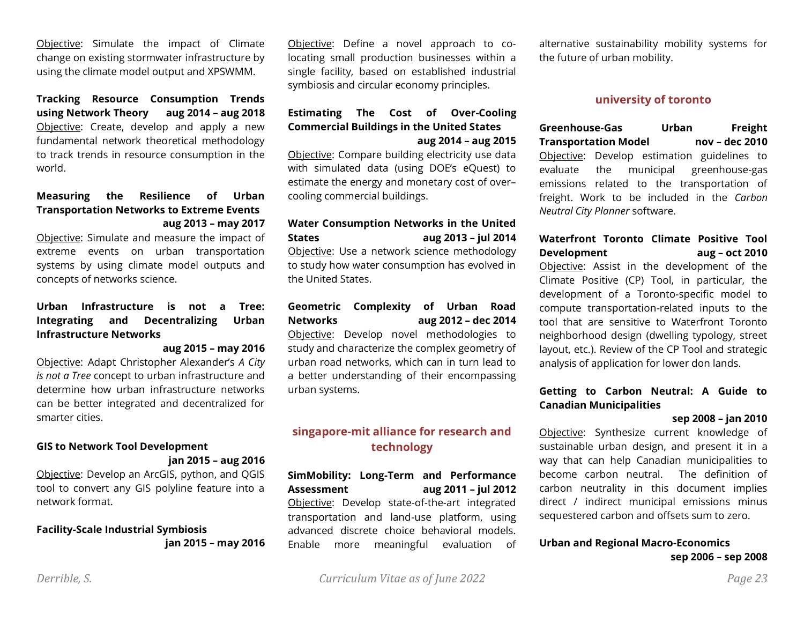Objective: Simulate the impact of Climate change on existing stormwater infrastructure by using the climate model output and XPSWMM.

**Tracking Resource Consumption Trends using Network Theory aug 2014 – aug 2018** Objective: Create, develop and apply a new fundamental network theoretical methodology to track trends in resource consumption in the world.

#### **Measuring the Resilience of Urban Transportation Networks to Extreme Events aug 2013 – may 2017**

Objective: Simulate and measure the impact of extreme events on urban transportation systems by using climate model outputs and concepts of networks science.

### **Urban Infrastructure is not a Tree: Integrating and Decentralizing Urban Infrastructure Networks**

#### **aug 2015 – may 2016**

Objective: Adapt Christopher Alexander's *A City is not a Tree* concept to urban infrastructure and determine how urban infrastructure networks can be better integrated and decentralized for smarter cities.

#### **GIS to Network Tool Development jan 2015 – aug 2016**

Objective: Develop an ArcGIS, python, and QGIS tool to convert any GIS polyline feature into a network format.

#### **Facility-Scale Industrial Symbiosis jan 2015 – may 2016**

Objective: Define a novel approach to colocating small production businesses within a single facility, based on established industrial symbiosis and circular economy principles.

#### **Estimating The Cost of Over-Cooling Commercial Buildings in the United States aug 2014 – aug 2015**

Objective: Compare building electricity use data with simulated data (using DOE's eQuest) to estimate the energy and monetary cost of over– cooling commercial buildings.

## **Water Consumption Networks in the United States aug 2013 – jul 2014**

Objective: Use a network science methodology to study how water consumption has evolved in the United States.

#### **Geometric Complexity of Urban Road Networks aug 2012 – dec 2014**

Objective: Develop novel methodologies to study and characterize the complex geometry of urban road networks, which can in turn lead to a better understanding of their encompassing urban systems.

## **singapore-mit alliance for research and technology**

**SimMobility: Long-Term and Performance Assessment aug 2011 – jul 2012** Objective: Develop state-of-the-art integrated transportation and land-use platform, using advanced discrete choice behavioral models. Enable more meaningful evaluation of alternative sustainability mobility systems for the future of urban mobility.

#### **university of toronto**

**Greenhouse-Gas Urban Freight Transportation Model nov – dec 2010** Objective: Develop estimation guidelines to evaluate the municipal greenhouse-gas emissions related to the transportation of freight. Work to be included in the *Carbon Neutral City Planner* software.

#### **Waterfront Toronto Climate Positive Tool Development aug – oct 2010**

Objective: Assist in the development of the Climate Positive (CP) Tool, in particular, the development of a Toronto-specific model to compute transportation-related inputs to the tool that are sensitive to Waterfront Toronto neighborhood design (dwelling typology, street layout, etc.). Review of the CP Tool and strategic analysis of application for lower don lands.

### **Getting to Carbon Neutral: A Guide to Canadian Municipalities**

#### **sep 2008 – jan 2010**

Objective: Synthesize current knowledge of sustainable urban design, and present it in a way that can help Canadian municipalities to become carbon neutral. The definition of carbon neutrality in this document implies direct / indirect municipal emissions minus sequestered carbon and offsets sum to zero.

#### **Urban and Regional Macro-Economics sep 2006 – sep 2008**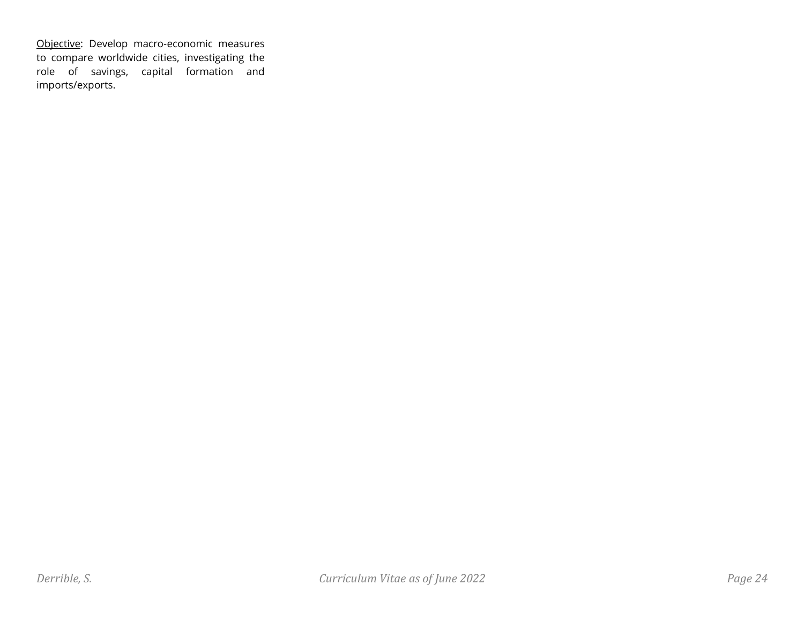Objective: Develop macro-economic measures to compare worldwide cities, investigating the role of savings, capital formation and imports/exports.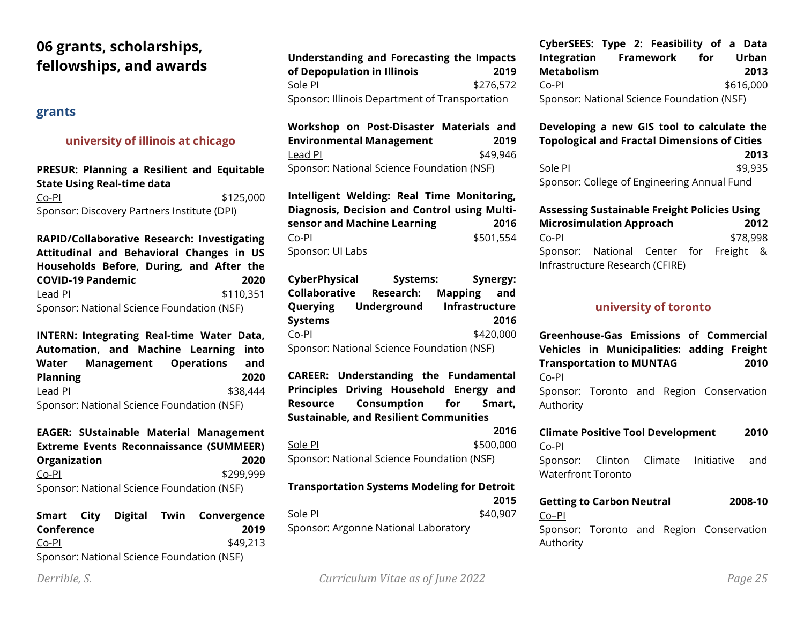# **06 grants, scholarships, fellowships, and awards**

#### **grants**

### **university of illinois at chicago**

### **PRESUR: Planning a Resilient and Equitable State Using Real-time data**

Co-PI \$125,000 Sponsor: Discovery Partners Institute (DPI)

**RAPID/Collaborative Research: Investigating Attitudinal and Behavioral Changes in US Households Before, During, and After the COVID-19 Pandemic 2020** Lead PI \$110,351 Sponsor: National Science Foundation (NSF)

**INTERN: Integrating Real-time Water Data, Automation, and Machine Learning into Water Management Operations and Planning 2020** Lead PI \$38,444 Sponsor: National Science Foundation (NSF)

**EAGER: SUstainable Material Management Extreme Events Reconnaissance (SUMMEER) Organization 2020** Co-PI \$299,999 Sponsor: National Science Foundation (NSF)

|            |  | Smart City Digital Twin Convergence        |
|------------|--|--------------------------------------------|
| Conference |  | 2019                                       |
| Co-Pl      |  | \$49,213                                   |
|            |  | Sponsor: National Science Foundation (NSF) |

| Understanding and Forecasting the Impacts<br>of Depopulation in Illinois | 2019      |
|--------------------------------------------------------------------------|-----------|
| Sole PI                                                                  | \$276,572 |
| Sponsor: Illinois Department of Transportation                           |           |

**Workshop on Post-Disaster Materials and Environmental Management 2019** Lead PI \$49,946 Sponsor: National Science Foundation (NSF)

**Intelligent Welding: Real Time Monitoring, Diagnosis, Decision and Control using Multisensor and Machine Learning 2016** Co-PI \$501,554 Sponsor: UI Labs

**CyberPhysical Systems: Synergy: Collaborative Research: Mapping and Querying Underground Infrastructure Systems 2016** Co-PI \$420,000 Sponsor: National Science Foundation (NSF)

**CAREER: Understanding the Fundamental Principles Driving Household Energy and Resource Consumption for Smart, Sustainable, and Resilient Communities**

**2016** Sole PI \$500,000 Sponsor: National Science Foundation (NSF)

## **Transportation Systems Modeling for Detroit 2015** Sole PI  $$40,907$

Sponsor: Argonne National Laboratory

**CyberSEES: Type 2: Feasibility of a Data Integration Framework for Urban Metabolism 2013** Co-PI \$616,000 Sponsor: National Science Foundation (NSF)

#### **Developing a new GIS tool to calculate the Topological and Fractal Dimensions of Cities 2013** Sole PI \$9,935 Sponsor: College of Engineering Annual Fund

## **Assessing Sustainable Freight Policies Using Microsimulation Approach 2012** Co-PI \$78,998 Sponsor: National Center for Freight & Infrastructure Research (CFIRE)

#### **university of toronto**

**Greenhouse-Gas Emissions of Commercial Vehicles in Municipalities: adding Freight Transportation to MUNTAG 2010** Co-PI Sponsor: Toronto and Region Conservation

Authority

#### **Climate Positive Tool Development 2010** Co-PI

Sponsor: Clinton Climate Initiative and Waterfront Toronto

### **Getting to Carbon Neutral 2008-10** Co–PI Sponsor: Toronto and Region Conservation Authority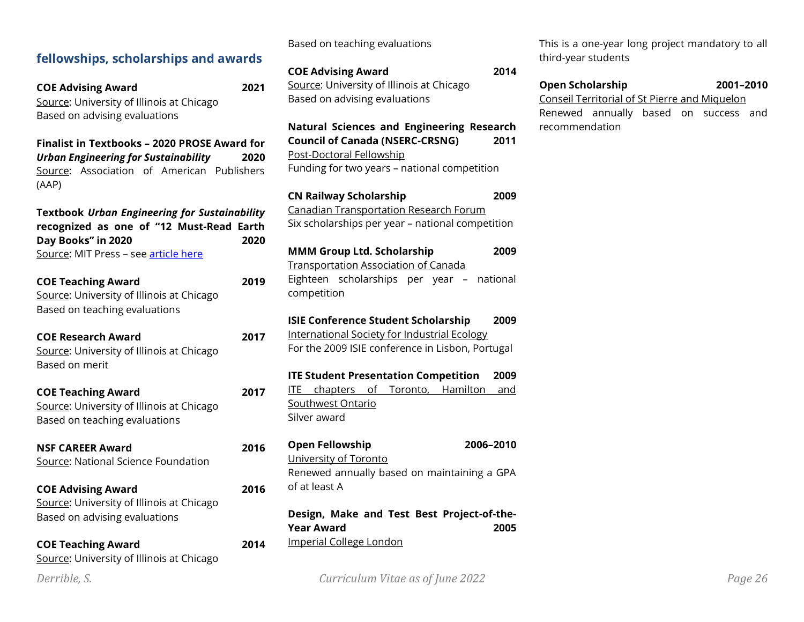# **fellowships, scholarships and awards**

**COE Advising Award 2021** Source: University of Illinois at Chicago Based on advising evaluations

**Finalist in Textbooks – 2020 PROSE Award for**  *Urban Engineering for Sustainability* **2020** Source: Association of American Publishers (AAP)

**Textbook** *Urban Engineering for Sustainability* **recognized as one of "12 Must-Read Earth Day Books" in 2020 2020** Source: MIT Press – see [article here](https://mitpress.mit.edu/blog/12-must-read-earth-day-books)

| <b>COE Teaching Award</b>                 | 2019 |
|-------------------------------------------|------|
| Source: University of Illinois at Chicago |      |
| Based on teaching evaluations             |      |

| COE Research Award                        | 2017 |
|-------------------------------------------|------|
| Source: University of Illinois at Chicago |      |
| Based on merit                            |      |

**COE Teaching Award 2017** Source: University of Illinois at Chicago Based on teaching evaluations

**NSF CAREER Award 2016** Source: National Science Foundation

**COE Advising Award 2016** Source: University of Illinois at Chicago Based on advising evaluations

| <b>COE Teaching Award</b>                 | 2014 |
|-------------------------------------------|------|
| Source: University of Illinois at Chicago |      |

Based on teaching evaluations

**COE Advising Award 2014** Source: University of Illinois at Chicago Based on advising evaluations

**Natural Sciences and Engineering Research Council of Canada (NSERC-CRSNG) 2011** Post-Doctoral Fellowship Funding for two years – national competition

**CN Railway Scholarship 2009** Canadian Transportation Research Forum Six scholarships per year – national competition **MMM Group Ltd. Scholarship 2009**

Transportation Association of Canada Eighteen scholarships per year – national competition

**ISIE Conference Student Scholarship 2009** International Society for Industrial Ecology For the 2009 ISIE conference in Lisbon, Portugal

**ITE Student Presentation Competition 2009** ITE chapters of Toronto, Hamilton and Southwest Ontario Silver award

**Open Fellowship 2006–2010** University of Toronto Renewed annually based on maintaining a GPA of at least A

**Design, Make and Test Best Project-of-the-Year Award 2005** Imperial College London

This is a one-year long project mandatory to all third-year students

#### **Open Scholarship 2001–2010** Conseil Territorial of St Pierre and Miquelon Renewed annually based on success and recommendation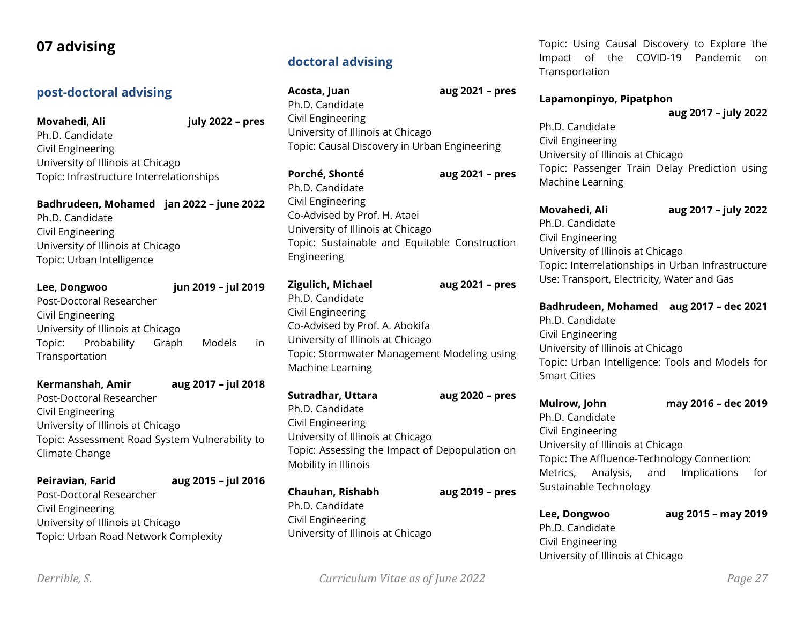# **07 advising**

# **post-doctoral advising**

**Movahedi, Ali july 2022 – pres** Ph.D. Candidate Civil Engineering University of Illinois at Chicago Topic: Infrastructure Interrelationships

**Badhrudeen, Mohamed jan 2022 – june 2022** Ph.D. Candidate Civil Engineering University of Illinois at Chicago Topic: Urban Intelligence

| Lee, Dongwoo                      |                    | jun 2019 - jul 2019 |        |    |
|-----------------------------------|--------------------|---------------------|--------|----|
| Post-Doctoral Researcher          |                    |                     |        |    |
| Civil Engineering                 |                    |                     |        |    |
| University of Illinois at Chicago |                    |                     |        |    |
|                                   | Topic: Probability | Graph               | Models | in |
| Transportation                    |                    |                     |        |    |

| Kermanshah, Amir                               | aug 2017 - jul 2018 |
|------------------------------------------------|---------------------|
| Post-Doctoral Researcher                       |                     |
| Civil Engineering                              |                     |
| University of Illinois at Chicago              |                     |
| Topic: Assessment Road System Vulnerability to |                     |
| Climate Change                                 |                     |

| Peiravian, Farid                     | aug 2015 - jul 2016 |  |
|--------------------------------------|---------------------|--|
| Post-Doctoral Researcher             |                     |  |
| Civil Engineering                    |                     |  |
| University of Illinois at Chicago    |                     |  |
| Topic: Urban Road Network Complexity |                     |  |

# **doctoral advising**

| Acosta, Juan                                 | aug 2021 - pres |
|----------------------------------------------|-----------------|
| Ph.D. Candidate                              |                 |
| Civil Engineering                            |                 |
| University of Illinois at Chicago            |                 |
| Topic: Causal Discovery in Urban Engineering |                 |
| Porché, Shonté                               | aug 2021 - pres |
| Ph.D. Candidate                              |                 |

Civil Engineering Co-Advised by Prof. H. Ataei University of Illinois at Chicago Topic: Sustainable and Equitable Construction Engineering

# **Zigulich, Michael aug 2021 – pres** Ph.D. Candidate Civil Engineering Co-Advised by Prof. A. Abokifa University of Illinois at Chicago Topic: Stormwater Management Modeling using Machine Learning

**Sutradhar, Uttara aug 2020 – pres** Ph.D. Candidate Civil Engineering University of Illinois at Chicago Topic: Assessing the Impact of Depopulation on Mobility in Illinois

**Chauhan, Rishabh aug 2019 – pres** Ph.D. Candidate Civil Engineering University of Illinois at Chicago

Topic: Using Causal Discovery to Explore the Impact of the COVID-19 Pandemic on **Transportation** 

#### **Lapamonpinyo, Pipatphon**

#### **aug 2017 – july 2022**

Ph.D. Candidate Civil Engineering University of Illinois at Chicago Topic: Passenger Train Delay Prediction using Machine Learning

**Movahedi, Ali aug 2017 – july 2022** Ph.D. Candidate Civil Engineering University of Illinois at Chicago Topic: Interrelationships in Urban Infrastructure Use: Transport, Electricity, Water and Gas

**Badhrudeen, Mohamed aug 2017 – dec 2021** Ph.D. Candidate Civil Engineering University of Illinois at Chicago Topic: Urban Intelligence: Tools and Models for Smart Cities

**Mulrow, John may 2016 – dec 2019** Ph.D. Candidate Civil Engineering University of Illinois at Chicago Topic: The Affluence-Technology Connection: Metrics, Analysis, and Implications for Sustainable Technology

**Lee, Dongwoo aug 2015 – may 2019** Ph.D. Candidate Civil Engineering University of Illinois at Chicago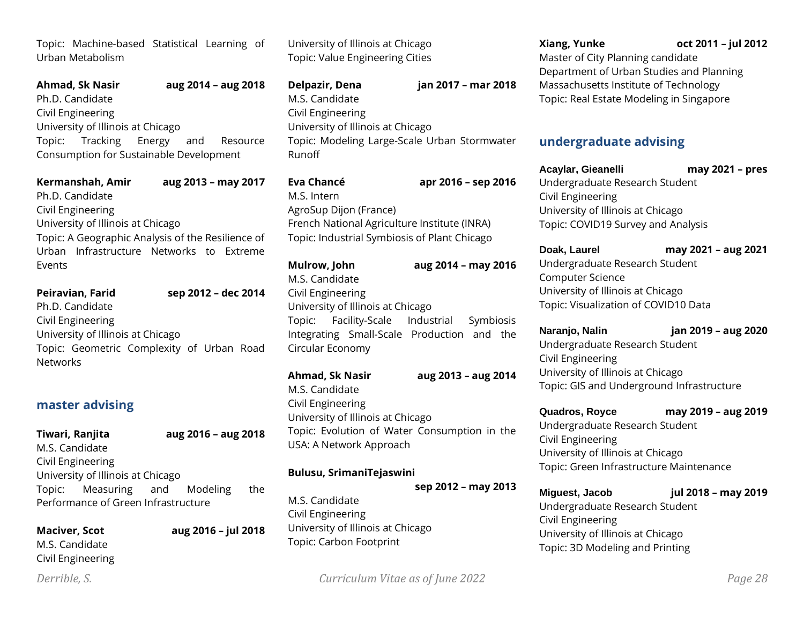Topic: Machine-based Statistical Learning of Urban Metabolism

|                                         | <b>Ahmad, Sk Nasir</b>              |  |  | aug 2014 - aug 2018 |
|-----------------------------------------|-------------------------------------|--|--|---------------------|
| Ph.D. Candidate                         |                                     |  |  |                     |
| Civil Engineering                       |                                     |  |  |                     |
| University of Illinois at Chicago       |                                     |  |  |                     |
|                                         | Topic: Tracking Energy and Resource |  |  |                     |
| Consumption for Sustainable Development |                                     |  |  |                     |

| Kermanshah, Amir<br>Ph.D. Candidate                                                                                                                               | aug 2013 - may 2017 |
|-------------------------------------------------------------------------------------------------------------------------------------------------------------------|---------------------|
| Civil Engineering<br>University of Illinois at Chicago<br>Topic: A Geographic Analysis of the Resilience of<br>Urban Infrastructure Networks to Extreme<br>Events |                     |
| Peiravian, Farid<br>Ph.D. Candidate<br>Civil Engineering                                                                                                          | sep 2012 - dec 2014 |
| University of Illinois at Chicago<br>Topic: Geometric Complexity of Urban Road                                                                                    |                     |

## **master advising**

| Tiwari, Ranjita                     | aug 2016 - aug 2018 |     |
|-------------------------------------|---------------------|-----|
| M.S. Candidate                      |                     |     |
| Civil Engineering                   |                     |     |
| University of Illinois at Chicago   |                     |     |
| Topic: Measuring and Modeling       |                     | the |
| Performance of Green Infrastructure |                     |     |

**Maciver, Scot aug 2016 – jul 2018**

M.S. Candidate Civil Engineering

University of Illinois at Chicago Topic: Value Engineering Cities

**Delpazir, Dena jan 2017 – mar 2018** M.S. Candidate Civil Engineering University of Illinois at Chicago Topic: Modeling Large-Scale Urban Stormwater Runoff

**Eva Chancé apr 2016 – sep 2016** M.S. Intern AgroSup Dijon (France) French National Agriculture Institute (INRA) Topic: Industrial Symbiosis of Plant Chicago

| Mulrow, John      |                                   | aug 2014 - may 2016                        |  |
|-------------------|-----------------------------------|--------------------------------------------|--|
| M.S. Candidate    |                                   |                                            |  |
| Civil Engineering |                                   |                                            |  |
|                   | University of Illinois at Chicago |                                            |  |
|                   |                                   | Topic: Facility-Scale Industrial Symbiosis |  |
|                   |                                   | Integrating Small-Scale Production and the |  |
| Circular Economy  |                                   |                                            |  |

**Ahmad, Sk Nasir aug 2013 – aug 2014** M.S. Candidate Civil Engineering University of Illinois at Chicago Topic: Evolution of Water Consumption in the USA: A Network Approach

#### **Bulusu, SrimaniTejaswini**

**sep 2012 – may 2013** M.S. Candidate Civil Engineering University of Illinois at Chicago Topic: Carbon Footprint

# **undergraduate advising**

**Acaylar, Gieanelli may 2021 – pres** Undergraduate Research Student Civil Engineering University of Illinois at Chicago Topic: COVID19 Survey and Analysis

**Doak, Laurel may 2021 – aug 2021** Undergraduate Research Student Computer Science University of Illinois at Chicago Topic: Visualization of COVID10 Data

**Naranjo, Nalin jan 2019 – aug 2020** Undergraduate Research Student Civil Engineering University of Illinois at Chicago Topic: GIS and Underground Infrastructure

**Quadros, Royce may 2019 – aug 2019** Undergraduate Research Student Civil Engineering University of Illinois at Chicago Topic: Green Infrastructure Maintenance

**Miguest, Jacob jul 2018 – may 2019** Undergraduate Research Student Civil Engineering University of Illinois at Chicago Topic: 3D Modeling and Printing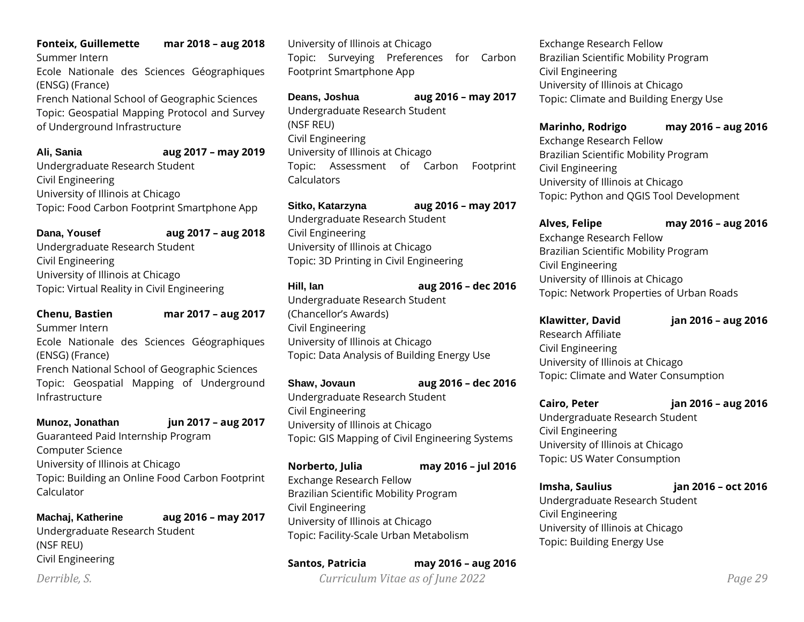#### **Fonteix, Guillemette mar 2018 – aug 2018**

Summer Intern

Ecole Nationale des Sciences Géographiques (ENSG) (France)

French National School of Geographic Sciences Topic: Geospatial Mapping Protocol and Survey of Underground Infrastructure

#### **Ali, Sania aug 2017 – may 2019**

Undergraduate Research Student Civil Engineering University of Illinois at Chicago Topic: Food Carbon Footprint Smartphone App

**Dana, Yousef aug 2017 – aug 2018**

Undergraduate Research Student Civil Engineering University of Illinois at Chicago Topic: Virtual Reality in Civil Engineering

**Chenu, Bastien mar 2017 – aug 2017**

Summer Intern

Ecole Nationale des Sciences Géographiques (ENSG) (France)

French National School of Geographic Sciences Topic: Geospatial Mapping of Underground Infrastructure

**Munoz, Jonathan jun 2017 – aug 2017** Guaranteed Paid Internship Program Computer Science University of Illinois at Chicago Topic: Building an Online Food Carbon Footprint

Calculator **Machaj, Katherine aug 2016 – may 2017**

Undergraduate Research Student (NSF REU) Civil Engineering

University of Illinois at Chicago Topic: Surveying Preferences for Carbon Footprint Smartphone App

**Deans, Joshua aug 2016 – may 2017** Undergraduate Research Student (NSF REU) Civil Engineering University of Illinois at Chicago Topic: Assessment of Carbon Footprint **Calculators** 

**Sitko, Katarzyna aug 2016 – may 2017** Undergraduate Research Student Civil Engineering University of Illinois at Chicago Topic: 3D Printing in Civil Engineering

**Hill, Ian aug 2016 – dec 2016** Undergraduate Research Student

(Chancellor's Awards) Civil Engineering University of Illinois at Chicago Topic: Data Analysis of Building Energy Use

**Shaw, Jovaun aug 2016 – dec 2016**

Undergraduate Research Student Civil Engineering University of Illinois at Chicago Topic: GIS Mapping of Civil Engineering Systems

**Norberto, Julia may 2016 – jul 2016**

Exchange Research Fellow Brazilian Scientific Mobility Program Civil Engineering University of Illinois at Chicago Topic: Facility-Scale Urban Metabolism

**Santos, Patricia may 2016 – aug 2016**

Exchange Research Fellow Brazilian Scientific Mobility Program Civil Engineering University of Illinois at Chicago Topic: Climate and Building Energy Use

**Marinho, Rodrigo may 2016 – aug 2016** Exchange Research Fellow Brazilian Scientific Mobility Program Civil Engineering University of Illinois at Chicago Topic: Python and QGIS Tool Development

**Alves, Felipe may 2016 – aug 2016** Exchange Research Fellow Brazilian Scientific Mobility Program Civil Engineering University of Illinois at Chicago Topic: Network Properties of Urban Roads

**Klawitter, David jan 2016 – aug 2016** Research Affiliate Civil Engineering University of Illinois at Chicago Topic: Climate and Water Consumption

**Cairo, Peter jan 2016 – aug 2016** Undergraduate Research Student Civil Engineering University of Illinois at Chicago Topic: US Water Consumption

**Imsha, Saulius jan 2016 – oct 2016** Undergraduate Research Student Civil Engineering University of Illinois at Chicago Topic: Building Energy Use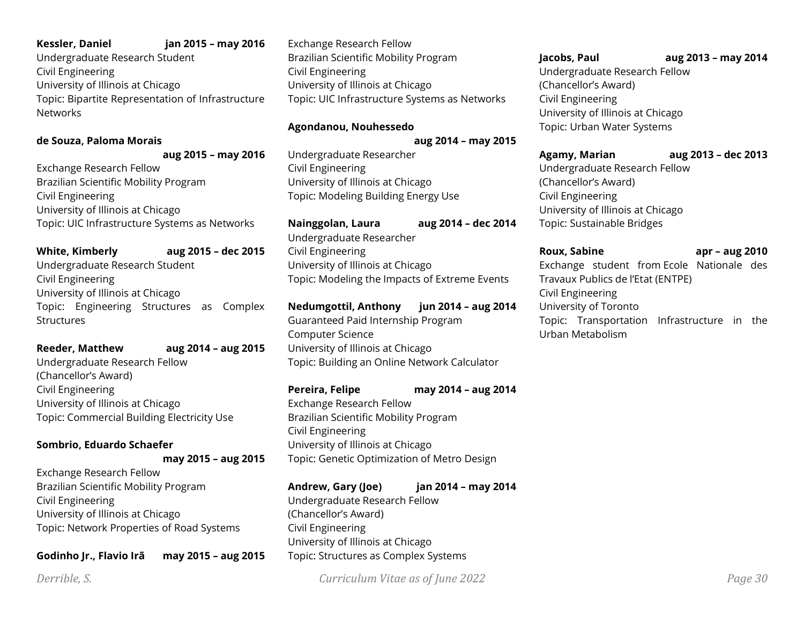#### **Kessler, Daniel jan 2015 – may 2016**

Undergraduate Research Student Civil Engineering University of Illinois at Chicago Topic: Bipartite Representation of Infrastructure **Networks** 

#### **de Souza, Paloma Morais**

**aug 2015 – may 2016** Exchange Research Fellow

Brazilian Scientific Mobility Program Civil Engineering University of Illinois at Chicago Topic: UIC Infrastructure Systems as Networks

**White, Kimberly aug 2015 – dec 2015** Undergraduate Research Student Civil Engineering University of Illinois at Chicago Topic: Engineering Structures as Complex **Structures** 

# **Reeder, Matthew aug 2014 – aug 2015** Undergraduate Research Fellow (Chancellor's Award) Civil Engineering

University of Illinois at Chicago Topic: Commercial Building Electricity Use

## **Sombrio, Eduardo Schaefer**

**may 2015 – aug 2015**

Exchange Research Fellow Brazilian Scientific Mobility Program Civil Engineering University of Illinois at Chicago Topic: Network Properties of Road Systems

**Godinho Jr., Flavio Irã may 2015 – aug 2015**

Exchange Research Fellow Brazilian Scientific Mobility Program Civil Engineering University of Illinois at Chicago Topic: UIC Infrastructure Systems as Networks

## **Agondanou, Nouhessedo**

**aug 2014 – may 2015**

Undergraduate Researcher Civil Engineering University of Illinois at Chicago Topic: Modeling Building Energy Use

**Nainggolan, Laura aug 2014 – dec 2014** Undergraduate Researcher Civil Engineering University of Illinois at Chicago Topic: Modeling the Impacts of Extreme Events

**Nedumgottil, Anthony jun 2014 – aug 2014** Guaranteed Paid Internship Program Computer Science University of Illinois at Chicago Topic: Building an Online Network Calculator

## **Pereira, Felipe may 2014 – aug 2014**

Exchange Research Fellow Brazilian Scientific Mobility Program Civil Engineering University of Illinois at Chicago Topic: Genetic Optimization of Metro Design

### **Andrew, Gary (Joe) jan 2014 – may 2014**

Undergraduate Research Fellow (Chancellor's Award) Civil Engineering University of Illinois at Chicago Topic: Structures as Complex Systems

*Derrible, S. Curriculum Vitae as of June 2022 Page 30*

**Jacobs, Paul aug 2013 – may 2014** Undergraduate Research Fellow (Chancellor's Award) Civil Engineering University of Illinois at Chicago Topic: Urban Water Systems

**Agamy, Marian aug 2013 – dec 2013** Undergraduate Research Fellow (Chancellor's Award) Civil Engineering University of Illinois at Chicago Topic: Sustainable Bridges

**Roux, Sabine apr – aug 2010** Exchange student from Ecole Nationale des Travaux Publics de l'Etat (ENTPE) Civil Engineering University of Toronto Topic: Transportation Infrastructure in the Urban Metabolism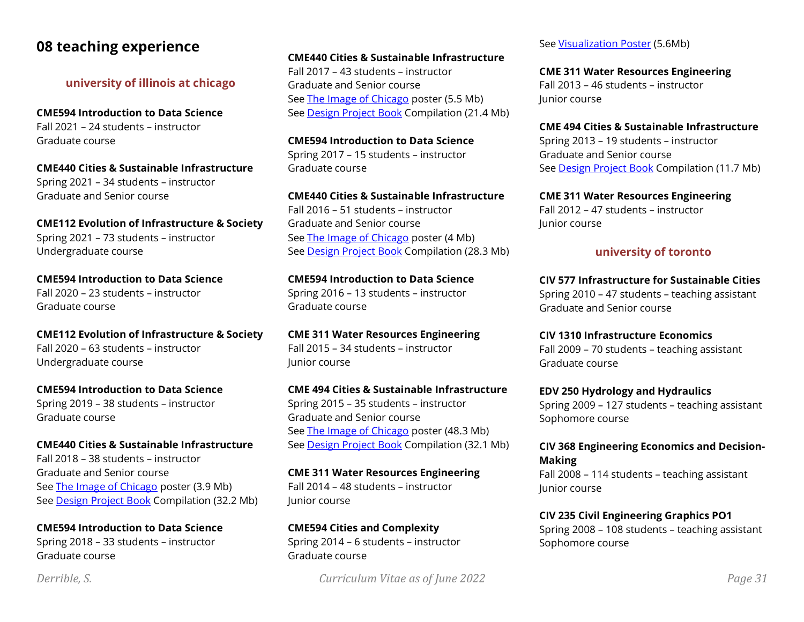# **08 teaching experience**

**university of illinois at chicago**

**CME594 Introduction to Data Science** Fall 2021 – 24 students – instructor Graduate course

**CME440 Cities & Sustainable Infrastructure** Spring 2021 – 34 students – instructor Graduate and Senior course

**CME112 Evolution of Infrastructure & Society** Spring 2021 – 73 students – instructor Undergraduate course

**CME594 Introduction to Data Science** Fall 2020 – 23 students – instructor Graduate course

**CME112 Evolution of Infrastructure & Society** Fall 2020 – 63 students – instructor Undergraduate course

**CME594 Introduction to Data Science** Spring 2019 – 38 students – instructor Graduate course

**CME440 Cities & Sustainable Infrastructure** Fall 2018 – 38 students – instructor Graduate and Senior course See [The Image of Chicago](https://derrible.people.uic.edu/course_documents/CME440_F2018_Poster.pdf) poster (3.9 Mb) See [Design Project Book](https://derrible.people.uic.edu/course_documents/CME440_F2018_Book.pdf) Compilation (32.2 Mb)

**CME594 Introduction to Data Science** Spring 2018 – 33 students – instructor Graduate course

## **CME440 Cities & Sustainable Infrastructure**

Fall 2017 – 43 students – instructor Graduate and Senior course See [The Image of Chicago](http://derrible.people.uic.edu/course_documents/CME440_F2017_Poster.pdf) poster (5.5 Mb) See [Design Project Book](http://derrible.people.uic.edu/course_documents/CME440_F2017_Book.pdf) Compilation (21.4 Mb)

**CME594 Introduction to Data Science** Spring 2017 – 15 students – instructor Graduate course

**CME440 Cities & Sustainable Infrastructure** Fall 2016 – 51 students – instructor Graduate and Senior course See [The Image of Chicago](http://derrible.people.uic.edu/course_documents/CME440_F2016_Poster.pdf) poster (4 Mb) See [Design Project Book](http://derrible.people.uic.edu/course_documents/CME440_F2016_Book.pdf) Compilation (28.3 Mb)

**CME594 Introduction to Data Science** Spring 2016 – 13 students – instructor Graduate course

**CME 311 Water Resources Engineering** Fall 2015 – 34 students – instructor Junior course

**CME 494 Cities & Sustainable Infrastructure** Spring 2015 – 35 students – instructor Graduate and Senior course See [The Image of Chicago](http://derrible.people.uic.edu/course_documents/CME494_S2015_Poster.pdf) poster (48.3 Mb) See [Design Project Book](http://derrible.people.uic.edu/course_documents/CME494_S2015_Book.pdf) Compilation (32.1 Mb)

**CME 311 Water Resources Engineering** Fall 2014 – 48 students – instructor Junior course

**CME594 Cities and Complexity** Spring 2014 – 6 students – instructor Graduate course

*Derrible, S. Curriculum Vitae as of June 2022 Page 31*

See [Visualization Poster](http://tigger.uic.edu/~derrible/course_documents/CME594_S2014_Poster.pdf) (5.6Mb)

**CME 311 Water Resources Engineering** Fall 2013 – 46 students – instructor Junior course

**CME 494 Cities & Sustainable Infrastructure** Spring 2013 – 19 students – instructor Graduate and Senior course See [Design Project Book](https://tigger.uic.edu/~derrible/course_documents/CME494_S2013_Book.pdf) Compilation (11.7 Mb)

**CME 311 Water Resources Engineering** Fall 2012 – 47 students – instructor Junior course

### **university of toronto**

**CIV 577 Infrastructure for Sustainable Cities** Spring 2010 – 47 students – teaching assistant Graduate and Senior course

**CIV 1310 Infrastructure Economics** Fall 2009 – 70 students – teaching assistant Graduate course

**EDV 250 Hydrology and Hydraulics** Spring 2009 – 127 students – teaching assistant Sophomore course

**CIV 368 Engineering Economics and Decision-Making**

Fall 2008 – 114 students – teaching assistant Junior course

**CIV 235 Civil Engineering Graphics PO1** Spring 2008 – 108 students – teaching assistant Sophomore course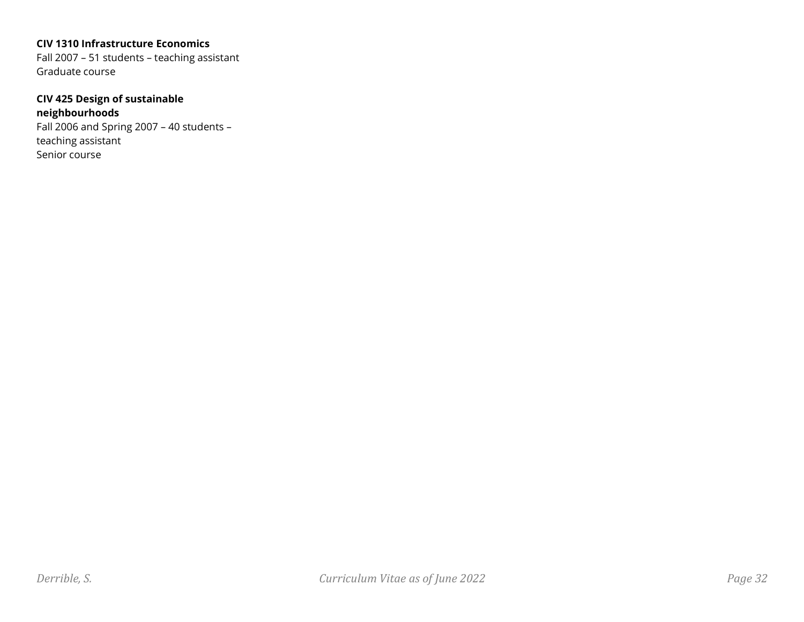#### **CIV 1310 Infrastructure Economics**

Fall 2007 – 51 students – teaching assistant Graduate course

### **CIV 425 Design of sustainable neighbourhoods**

Fall 2006 and Spring 2007 – 40 students – teaching assistant Senior course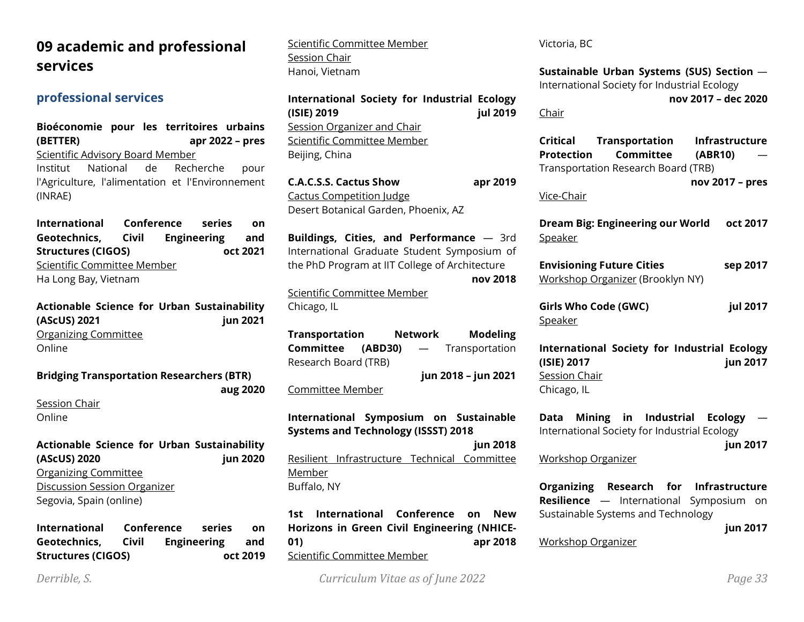# **09 academic and professional services**

# **professional services**

**Bioéconomie pour les territoires urbains (BETTER) apr 2022 – pres** Scientific Advisory Board Member Institut National de Recherche pour l'Agriculture, l'alimentation et l'Environnement (INRAE)

**International Conference series on Geotechnics, Civil Engineering and Structures (CIGOS) oct 2021** Scientific Committee Member Ha Long Bay, Vietnam

**Actionable Science for Urban Sustainability (AScUS) 2021 jun 2021** Organizing Committee Online

#### **Bridging Transportation Researchers (BTR)**

Session Chair Online

**Actionable Science for Urban Sustainability (AScUS) 2020 jun 2020** Organizing Committee Discussion Session Organizer Segovia, Spain (online)

**International Conference series on Geotechnics, Civil Engineering and Structures (CIGOS) oct 2019** Scientific Committee Member Session Chair Hanoi, Vietnam

**International Society for Industrial Ecology (ISIE) 2019 jul 2019** Session Organizer and Chair Scientific Committee Member Beijing, China

**C.A.C.S.S. Cactus Show apr 2019** Cactus Competition Judge Desert Botanical Garden, Phoenix, AZ

**Buildings, Cities, and Performance** — 3rd International Graduate Student Symposium of the PhD Program at IIT College of Architecture **nov 2018**

Scientific Committee Member Chicago, IL

**Transportation Network Modeling Committee (ABD30)** — Transportation Research Board (TRB) **jun 2018 – jun 2021**

Committee Member

**aug 2020**

**International Symposium on Sustainable Systems and Technology (ISSST) 2018**

**jun 2018** Resilient Infrastructure Technical Committee Member Buffalo, NY

**1st International Conference on New Horizons in Green Civil Engineering (NHICE-01) apr 2018** Scientific Committee Member

Victoria, BC

**Sustainable Urban Systems (SUS) Section** — International Society for Industrial Ecology **nov 2017 – dec 2020**

Chair

**Critical Transportation Infrastructure Protection Committee (ABR10)** — Transportation Research Board (TRB) **nov 2017 – pres**

Vice-Chair

**Dream Big: Engineering our World oct 2017** Speaker

**Envisioning Future Cities sep 2017** Workshop Organizer (Brooklyn NY)

**Girls Who Code (GWC) jul 2017** Speaker

**International Society for Industrial Ecology (ISIE) 2017 jun 2017** Session Chair Chicago, IL

**Data Mining in Industrial Ecology** — International Society for Industrial Ecology

**jun 2017**

Workshop Organizer

**Organizing Research for Infrastructure Resilience** — International Symposium on Sustainable Systems and Technology

**jun 2017**

Workshop Organizer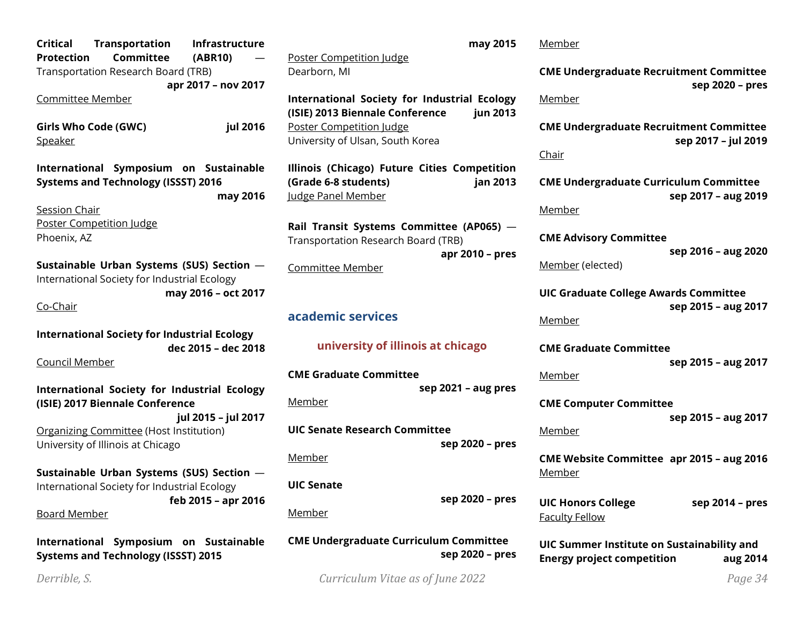**Critical Transportation Infrastructure Protection Committee (ABR10)** — Transportation Research Board (TRB) **apr 2017 – nov 2017** Committee Member **Girls Who Code (GWC) jul 2016** Speaker **International Symposium on Sustainable Systems and Technology (ISSST) 2016 may 2016** Session Chair Poster Competition Judge Phoenix, AZ **Sustainable Urban Systems (SUS) Section** — International Society for Industrial Ecology **may 2016 – oct 2017** Co-Chair **International Society for Industrial Ecology dec 2015 – dec 2018** Council Member **International Society for Industrial Ecology (ISIE) 2017 Biennale Conference jul 2015 – jul 2017** Organizing Committee (Host Institution) University of Illinois at Chicago **Sustainable Urban Systems (SUS) Section** — International Society for Industrial Ecology **feb 2015 – apr 2016** Board Member

**International Symposium on Sustainable Systems and Technology (ISSST) 2015**

Poster Competition Judge Dearborn, MI

**International Society for Industrial Ecology (ISIE) 2013 Biennale Conference jun 2013** Poster Competition Judge University of Ulsan, South Korea

**Illinois (Chicago) Future Cities Competition (Grade 6-8 students) jan 2013** Judge Panel Member

**Rail Transit Systems Committee (AP065)** — Transportation Research Board (TRB) **apr 2010 – pres**

Committee Member

# **academic services**

# **university of illinois at chicago**

**CME Graduate Committee sep 2021 – aug pres** Member

**UIC Senate Research Committee sep 2020 – pres**

Member

# **UIC Senate**

Member

**CME Undergraduate Curriculum Committee sep 2020 – pres**

*Derrible, S. Curriculum Vitae as of June 2022 Page 34*

**sep 2020 – pres**

**may 2015** Member

> **CME Undergraduate Recruitment Committee sep 2020 – pres**

#### Member

**CME Undergraduate Recruitment Committee sep 2017 – jul 2019**

Chair

**CME Undergraduate Curriculum Committee sep 2017 – aug 2019**

Member

**CME Advisory Committee**

**sep 2016 – aug 2020**

Member (elected)

**UIC Graduate College Awards Committee sep 2015 – aug 2017**

Member

**CME Graduate Committee sep 2015 – aug 2017**

Member

**CME Computer Committee sep 2015 – aug 2017**

Member

**CME Website Committee apr 2015 – aug 2016** Member

**UIC Honors College sep 2014 – pres** Faculty Fellow

**UIC Summer Institute on Sustainability and Energy project competition aug 2014**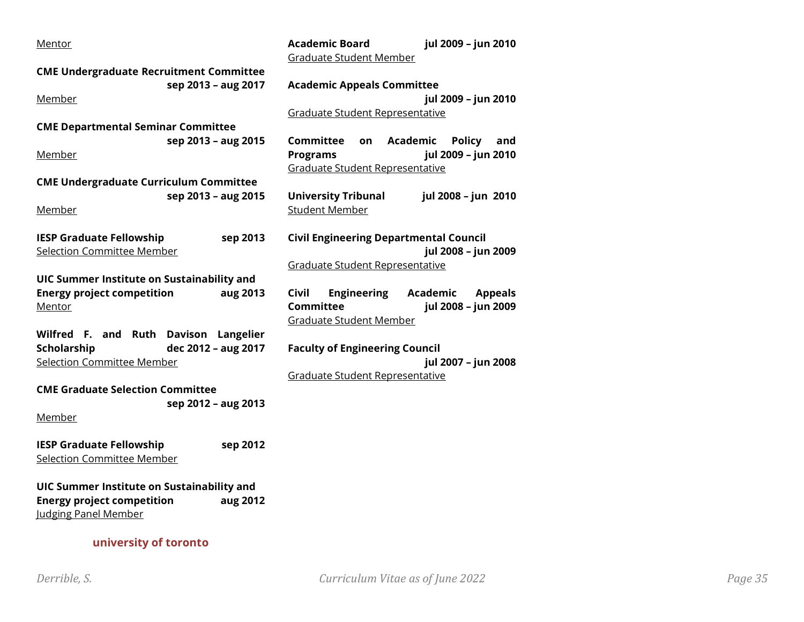| <b>Academic Board</b><br>jul 2009 - jun 2010                      |
|-------------------------------------------------------------------|
| <b>Graduate Student Member</b>                                    |
|                                                                   |
| <b>Academic Appeals Committee</b>                                 |
| jul 2009 - jun 2010                                               |
| <b>Graduate Student Representative</b>                            |
|                                                                   |
| <b>Committee</b><br><b>Academic</b><br><b>Policy</b><br>and<br>on |
| jul 2009 - jun 2010<br><b>Programs</b>                            |
| Graduate Student Representative                                   |
|                                                                   |
| <b>University Tribunal</b><br>jul 2008 - jun 2010                 |
| <b>Student Member</b>                                             |
| <b>Civil Engineering Departmental Council</b>                     |
| jul 2008 - jun 2009                                               |
| Graduate Student Representative                                   |
|                                                                   |
| <b>Civil</b><br><b>Engineering</b><br>Academic<br><b>Appeals</b>  |
| <b>Committee</b><br>jul 2008 - jun 2009                           |
| <b>Graduate Student Member</b>                                    |
|                                                                   |
| <b>Faculty of Engineering Council</b>                             |
| jul 2007 - jun 2008                                               |
| Graduate Student Representative                                   |
|                                                                   |
|                                                                   |
|                                                                   |
|                                                                   |
|                                                                   |
|                                                                   |
|                                                                   |
|                                                                   |
|                                                                   |
|                                                                   |
|                                                                   |
|                                                                   |